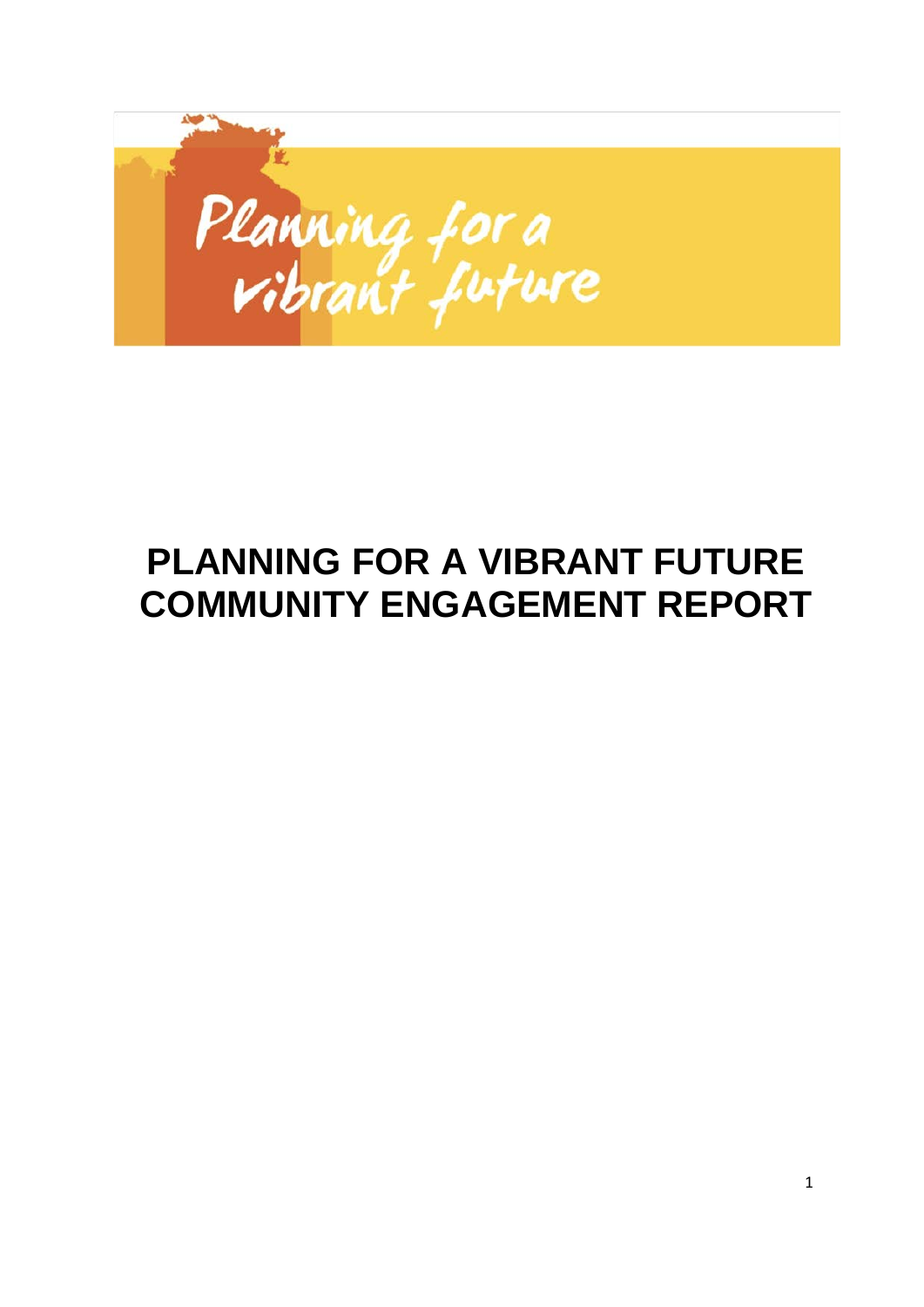

# **PLANNING FOR A VIBRANT FUTURE COMMUNITY ENGAGEMENT REPORT**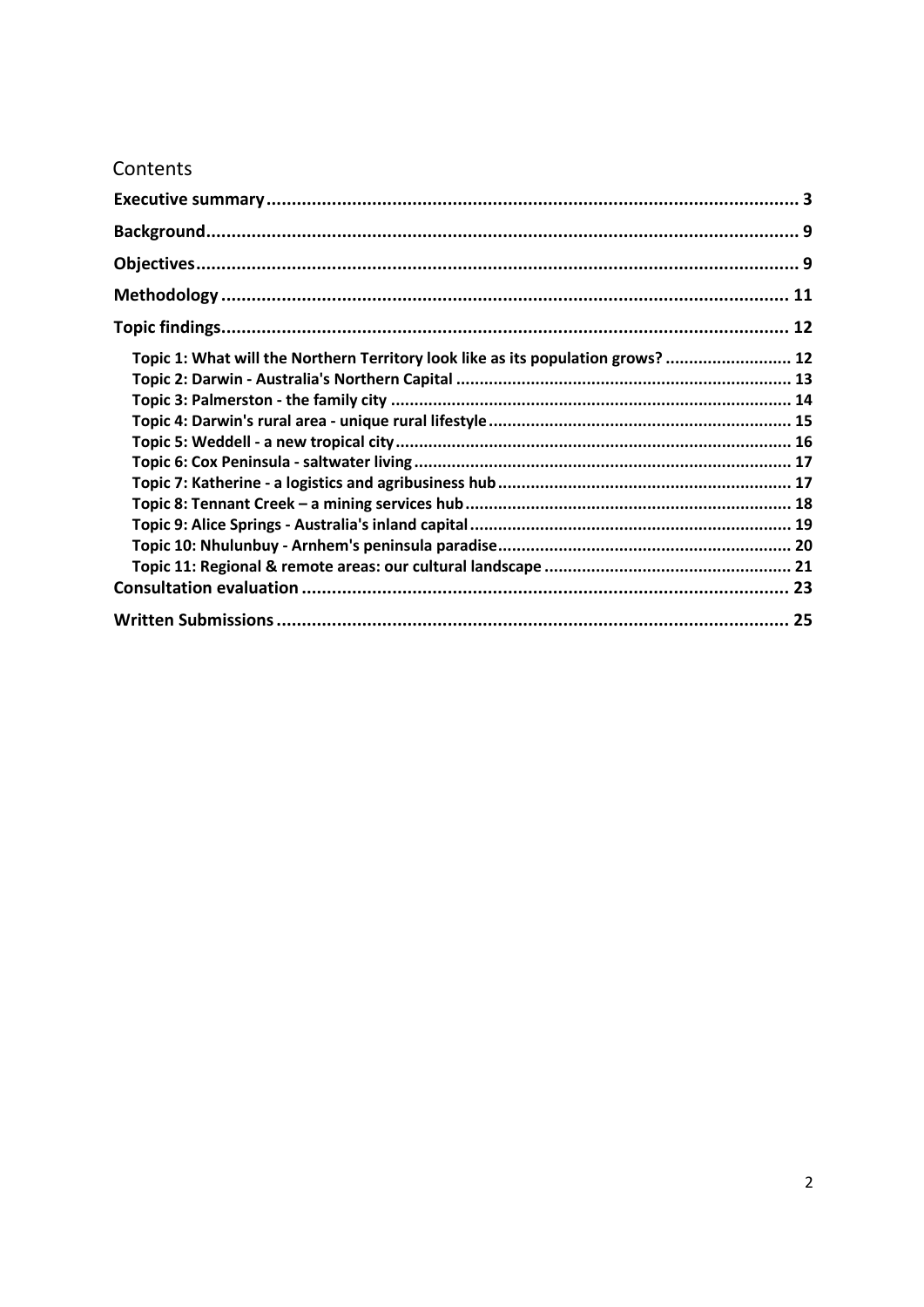## Contents

| Topic 1: What will the Northern Territory look like as its population grows?  12 |  |
|----------------------------------------------------------------------------------|--|
|                                                                                  |  |
|                                                                                  |  |
|                                                                                  |  |
|                                                                                  |  |
|                                                                                  |  |
|                                                                                  |  |
|                                                                                  |  |
|                                                                                  |  |
|                                                                                  |  |
|                                                                                  |  |
|                                                                                  |  |
|                                                                                  |  |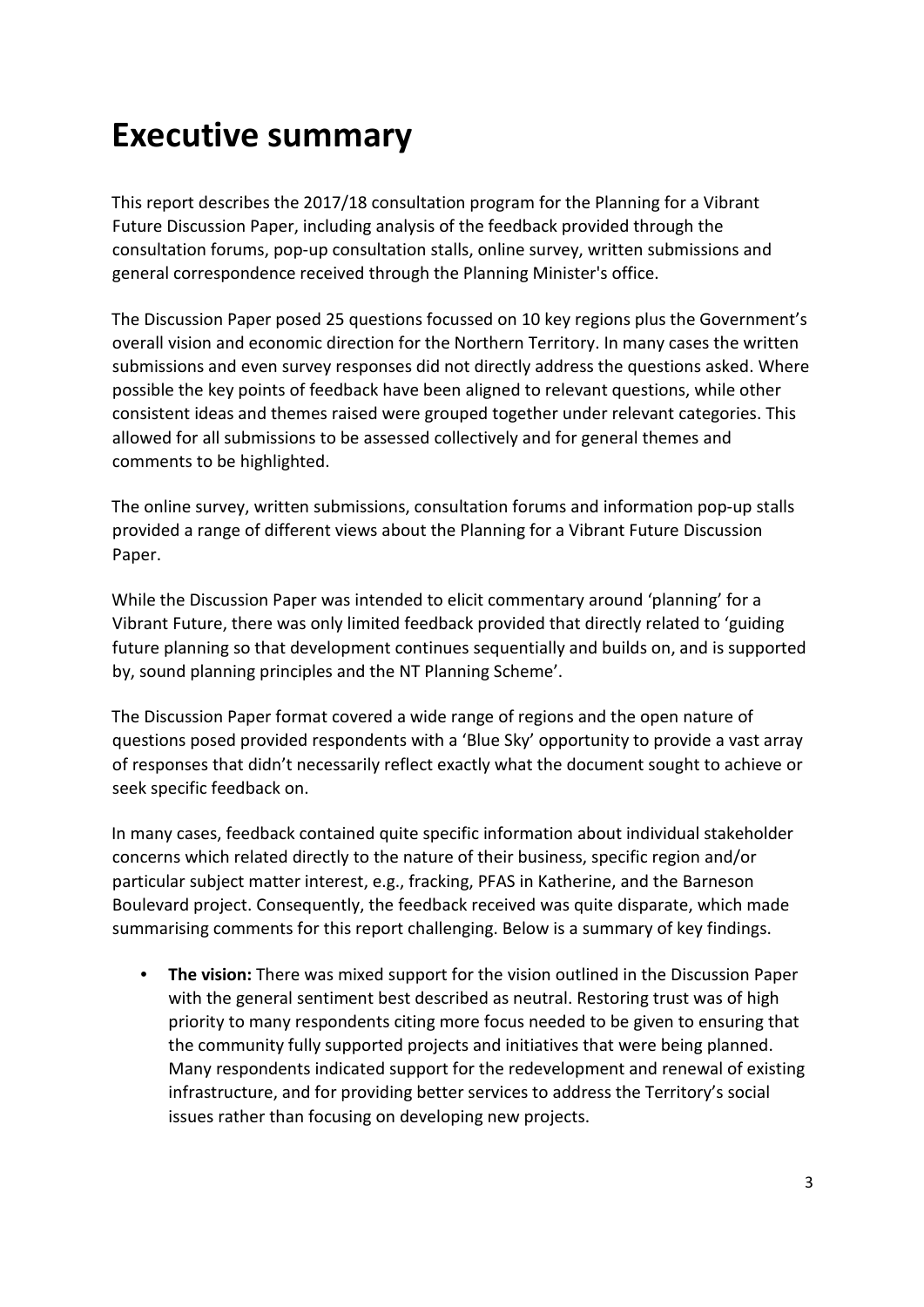## <span id="page-2-0"></span>**Executive summary**

This report describes the 2017/18 consultation program for the Planning for a Vibrant Future Discussion Paper, including analysis of the feedback provided through the consultation forums, pop-up consultation stalls, online survey, written submissions and general correspondence received through the Planning Minister's office.

The Discussion Paper posed 25 questions focussed on 10 key regions plus the Government's overall vision and economic direction for the Northern Territory. In many cases the written submissions and even survey responses did not directly address the questions asked. Where possible the key points of feedback have been aligned to relevant questions, while other consistent ideas and themes raised were grouped together under relevant categories. This allowed for all submissions to be assessed collectively and for general themes and comments to be highlighted.

The online survey, written submissions, consultation forums and information pop-up stalls provided a range of different views about the Planning for a Vibrant Future Discussion Paper.

While the Discussion Paper was intended to elicit commentary around 'planning' for a Vibrant Future, there was only limited feedback provided that directly related to 'guiding future planning so that development continues sequentially and builds on, and is supported by, sound planning principles and the NT Planning Scheme'.

The Discussion Paper format covered a wide range of regions and the open nature of questions posed provided respondents with a 'Blue Sky' opportunity to provide a vast array of responses that didn't necessarily reflect exactly what the document sought to achieve or seek specific feedback on.

In many cases, feedback contained quite specific information about individual stakeholder concerns which related directly to the nature of their business, specific region and/or particular subject matter interest, e.g., fracking, PFAS in Katherine, and the Barneson Boulevard project. Consequently, the feedback received was quite disparate, which made summarising comments for this report challenging. Below is a summary of key findings.

• **The vision:** There was mixed support for the vision outlined in the Discussion Paper with the general sentiment best described as neutral. Restoring trust was of high priority to many respondents citing more focus needed to be given to ensuring that the community fully supported projects and initiatives that were being planned. Many respondents indicated support for the redevelopment and renewal of existing infrastructure, and for providing better services to address the Territory's social issues rather than focusing on developing new projects.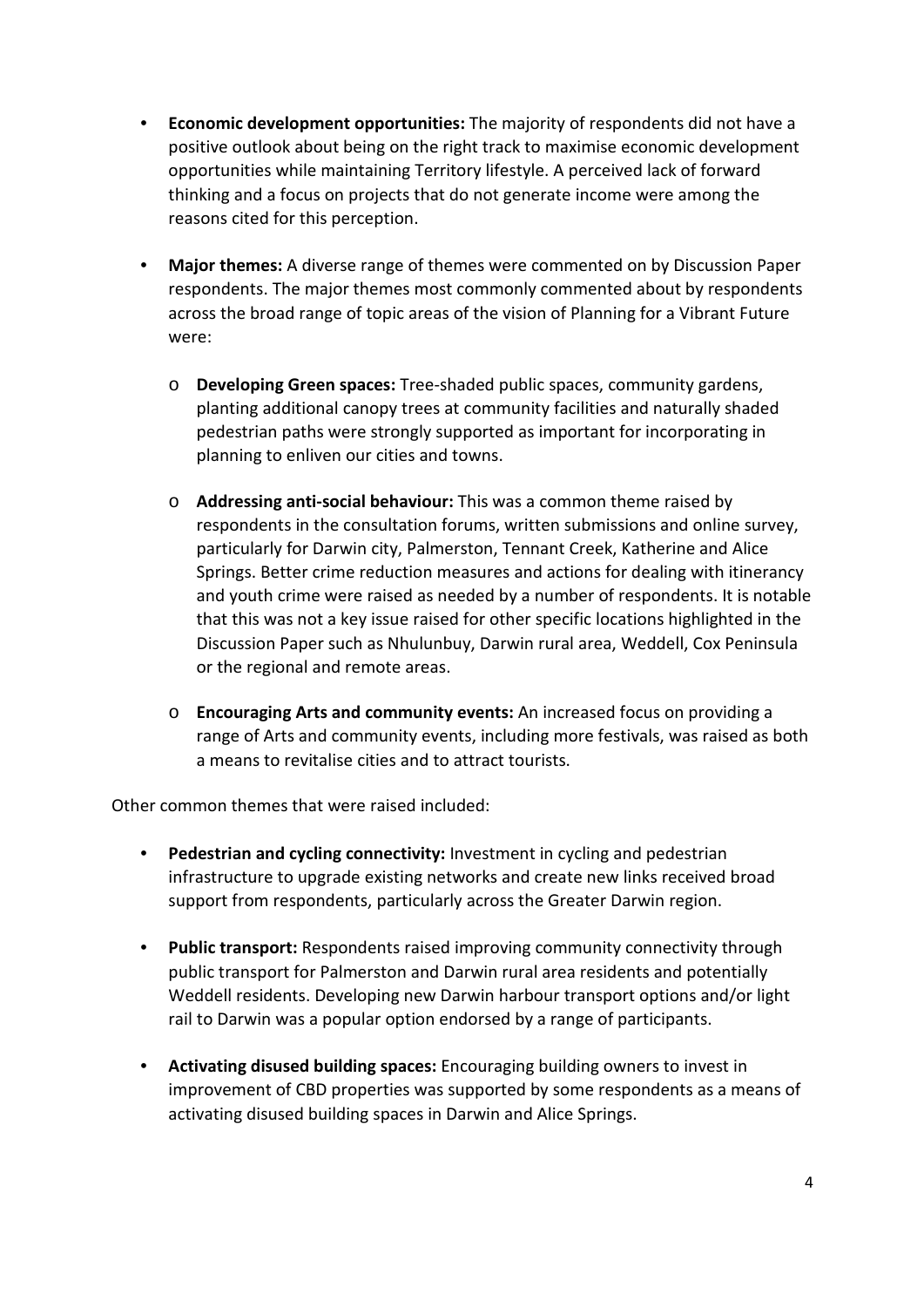- **Economic development opportunities:** The majority of respondents did not have a positive outlook about being on the right track to maximise economic development opportunities while maintaining Territory lifestyle. A perceived lack of forward thinking and a focus on projects that do not generate income were among the reasons cited for this perception.
- **Major themes:** A diverse range of themes were commented on by Discussion Paper respondents. The major themes most commonly commented about by respondents across the broad range of topic areas of the vision of Planning for a Vibrant Future were:
	- o **Developing Green spaces:** Tree-shaded public spaces, community gardens, planting additional canopy trees at community facilities and naturally shaded pedestrian paths were strongly supported as important for incorporating in planning to enliven our cities and towns.
	- o **Addressing anti-social behaviour:** This was a common theme raised by respondents in the consultation forums, written submissions and online survey, particularly for Darwin city, Palmerston, Tennant Creek, Katherine and Alice Springs. Better crime reduction measures and actions for dealing with itinerancy and youth crime were raised as needed by a number of respondents. It is notable that this was not a key issue raised for other specific locations highlighted in the Discussion Paper such as Nhulunbuy, Darwin rural area, Weddell, Cox Peninsula or the regional and remote areas.
	- o **Encouraging Arts and community events:** An increased focus on providing a range of Arts and community events, including more festivals, was raised as both a means to revitalise cities and to attract tourists.

Other common themes that were raised included:

- **Pedestrian and cycling connectivity:** Investment in cycling and pedestrian infrastructure to upgrade existing networks and create new links received broad support from respondents, particularly across the Greater Darwin region.
- **Public transport:** Respondents raised improving community connectivity through public transport for Palmerston and Darwin rural area residents and potentially Weddell residents. Developing new Darwin harbour transport options and/or light rail to Darwin was a popular option endorsed by a range of participants.
- **Activating disused building spaces:** Encouraging building owners to invest in improvement of CBD properties was supported by some respondents as a means of activating disused building spaces in Darwin and Alice Springs.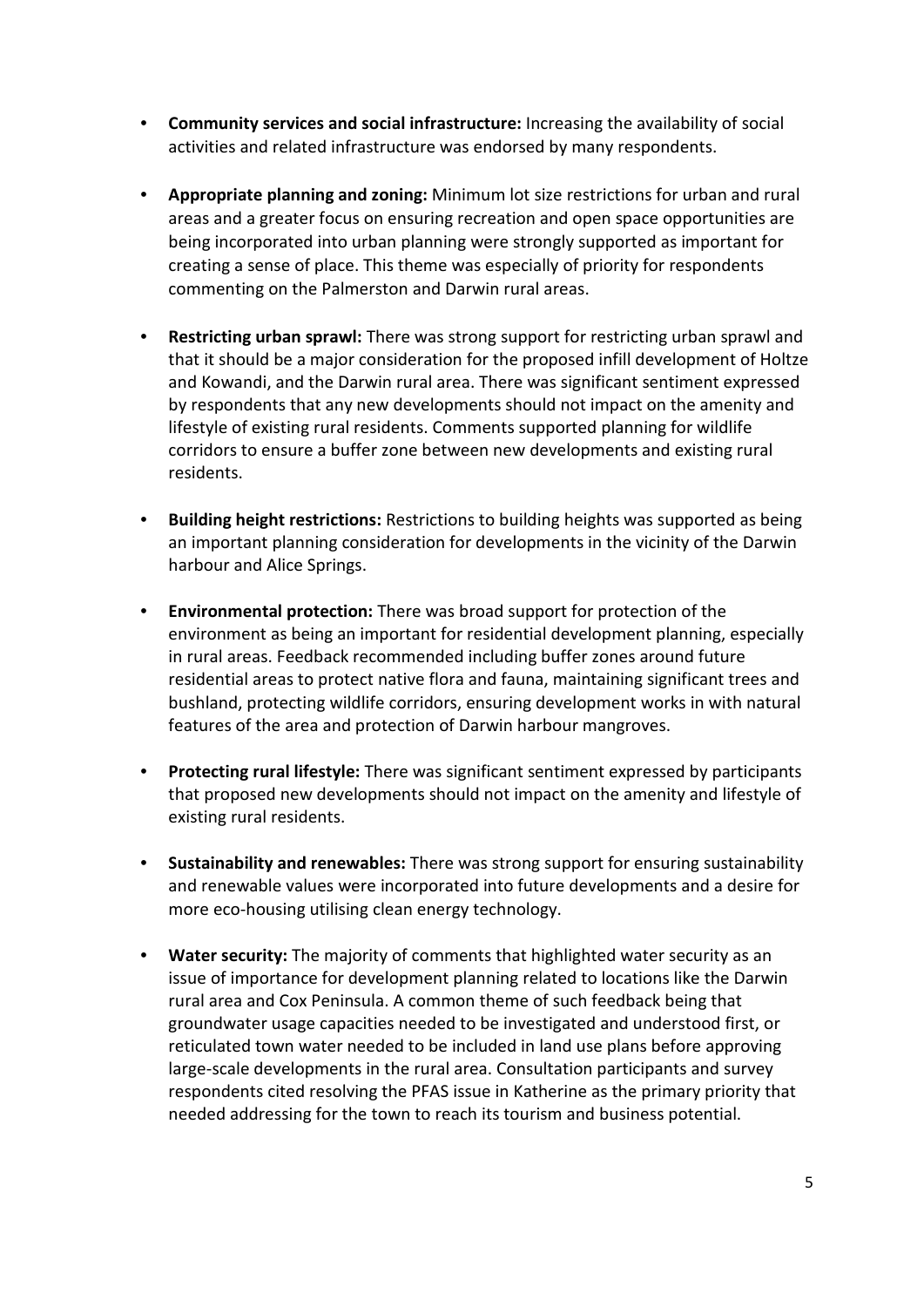- **Community services and social infrastructure:** Increasing the availability of social activities and related infrastructure was endorsed by many respondents.
- **Appropriate planning and zoning:** Minimum lot size restrictions for urban and rural areas and a greater focus on ensuring recreation and open space opportunities are being incorporated into urban planning were strongly supported as important for creating a sense of place. This theme was especially of priority for respondents commenting on the Palmerston and Darwin rural areas.
- **Restricting urban sprawl:** There was strong support for restricting urban sprawl and that it should be a major consideration for the proposed infill development of Holtze and Kowandi, and the Darwin rural area. There was significant sentiment expressed by respondents that any new developments should not impact on the amenity and lifestyle of existing rural residents. Comments supported planning for wildlife corridors to ensure a buffer zone between new developments and existing rural residents.
- **Building height restrictions:** Restrictions to building heights was supported as being an important planning consideration for developments in the vicinity of the Darwin harbour and Alice Springs.
- **Environmental protection:** There was broad support for protection of the environment as being an important for residential development planning, especially in rural areas. Feedback recommended including buffer zones around future residential areas to protect native flora and fauna, maintaining significant trees and bushland, protecting wildlife corridors, ensuring development works in with natural features of the area and protection of Darwin harbour mangroves.
- **Protecting rural lifestyle:** There was significant sentiment expressed by participants that proposed new developments should not impact on the amenity and lifestyle of existing rural residents.
- **Sustainability and renewables:** There was strong support for ensuring sustainability and renewable values were incorporated into future developments and a desire for more eco-housing utilising clean energy technology.
- **Water security:** The majority of comments that highlighted water security as an issue of importance for development planning related to locations like the Darwin rural area and Cox Peninsula. A common theme of such feedback being that groundwater usage capacities needed to be investigated and understood first, or reticulated town water needed to be included in land use plans before approving large-scale developments in the rural area. Consultation participants and survey respondents cited resolving the PFAS issue in Katherine as the primary priority that needed addressing for the town to reach its tourism and business potential.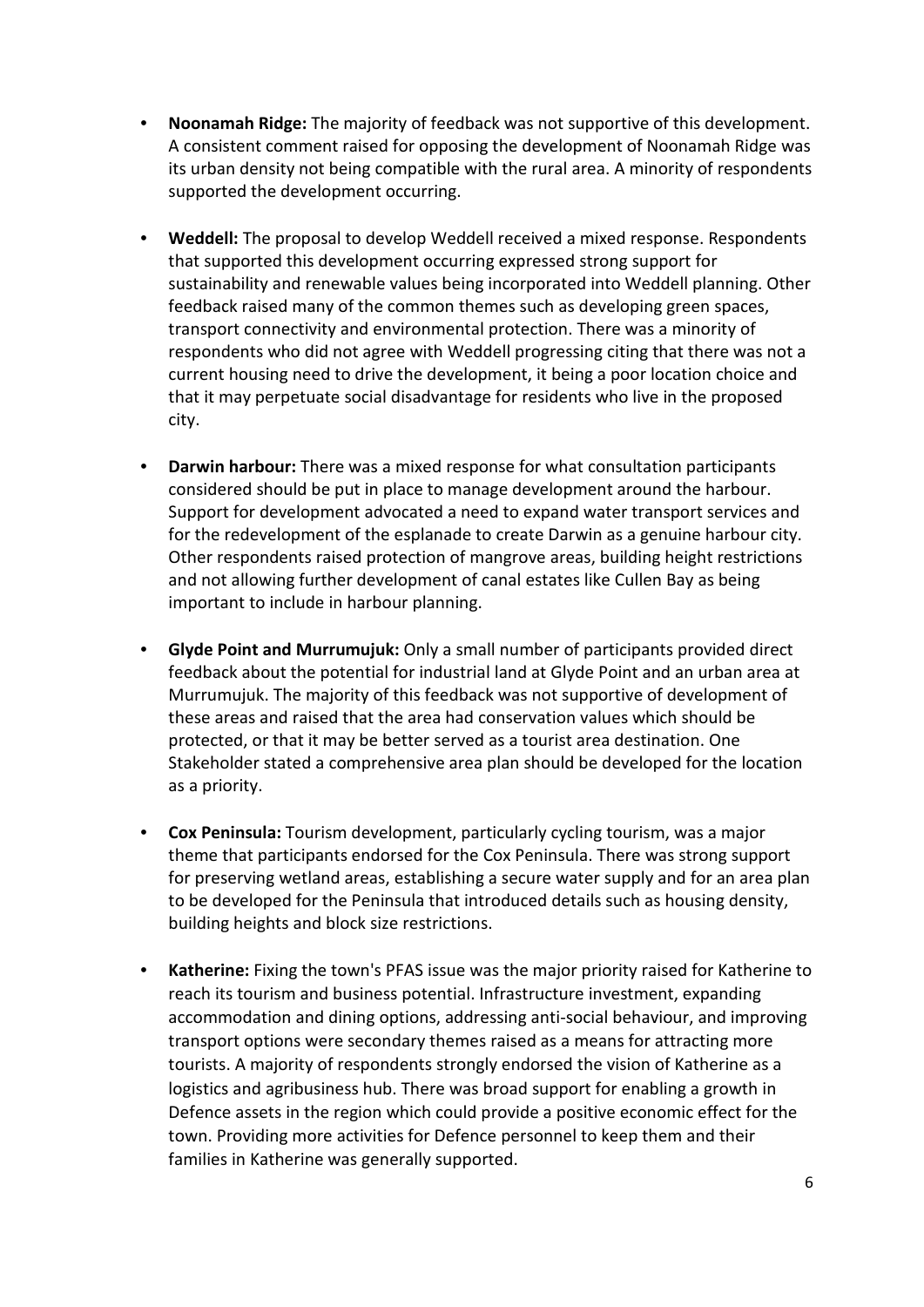- **Noonamah Ridge:** The majority of feedback was not supportive of this development. A consistent comment raised for opposing the development of Noonamah Ridge was its urban density not being compatible with the rural area. A minority of respondents supported the development occurring.
- **Weddell:** The proposal to develop Weddell received a mixed response. Respondents that supported this development occurring expressed strong support for sustainability and renewable values being incorporated into Weddell planning. Other feedback raised many of the common themes such as developing green spaces, transport connectivity and environmental protection. There was a minority of respondents who did not agree with Weddell progressing citing that there was not a current housing need to drive the development, it being a poor location choice and that it may perpetuate social disadvantage for residents who live in the proposed city.
- **Darwin harbour:** There was a mixed response for what consultation participants considered should be put in place to manage development around the harbour. Support for development advocated a need to expand water transport services and for the redevelopment of the esplanade to create Darwin as a genuine harbour city. Other respondents raised protection of mangrove areas, building height restrictions and not allowing further development of canal estates like Cullen Bay as being important to include in harbour planning.
- **Glyde Point and Murrumujuk:** Only a small number of participants provided direct feedback about the potential for industrial land at Glyde Point and an urban area at Murrumujuk. The majority of this feedback was not supportive of development of these areas and raised that the area had conservation values which should be protected, or that it may be better served as a tourist area destination. One Stakeholder stated a comprehensive area plan should be developed for the location as a priority.
- **Cox Peninsula:** Tourism development, particularly cycling tourism, was a major theme that participants endorsed for the Cox Peninsula. There was strong support for preserving wetland areas, establishing a secure water supply and for an area plan to be developed for the Peninsula that introduced details such as housing density, building heights and block size restrictions.
- **Katherine:** Fixing the town's PFAS issue was the major priority raised for Katherine to reach its tourism and business potential. Infrastructure investment, expanding accommodation and dining options, addressing anti-social behaviour, and improving transport options were secondary themes raised as a means for attracting more tourists. A majority of respondents strongly endorsed the vision of Katherine as a logistics and agribusiness hub. There was broad support for enabling a growth in Defence assets in the region which could provide a positive economic effect for the town. Providing more activities for Defence personnel to keep them and their families in Katherine was generally supported.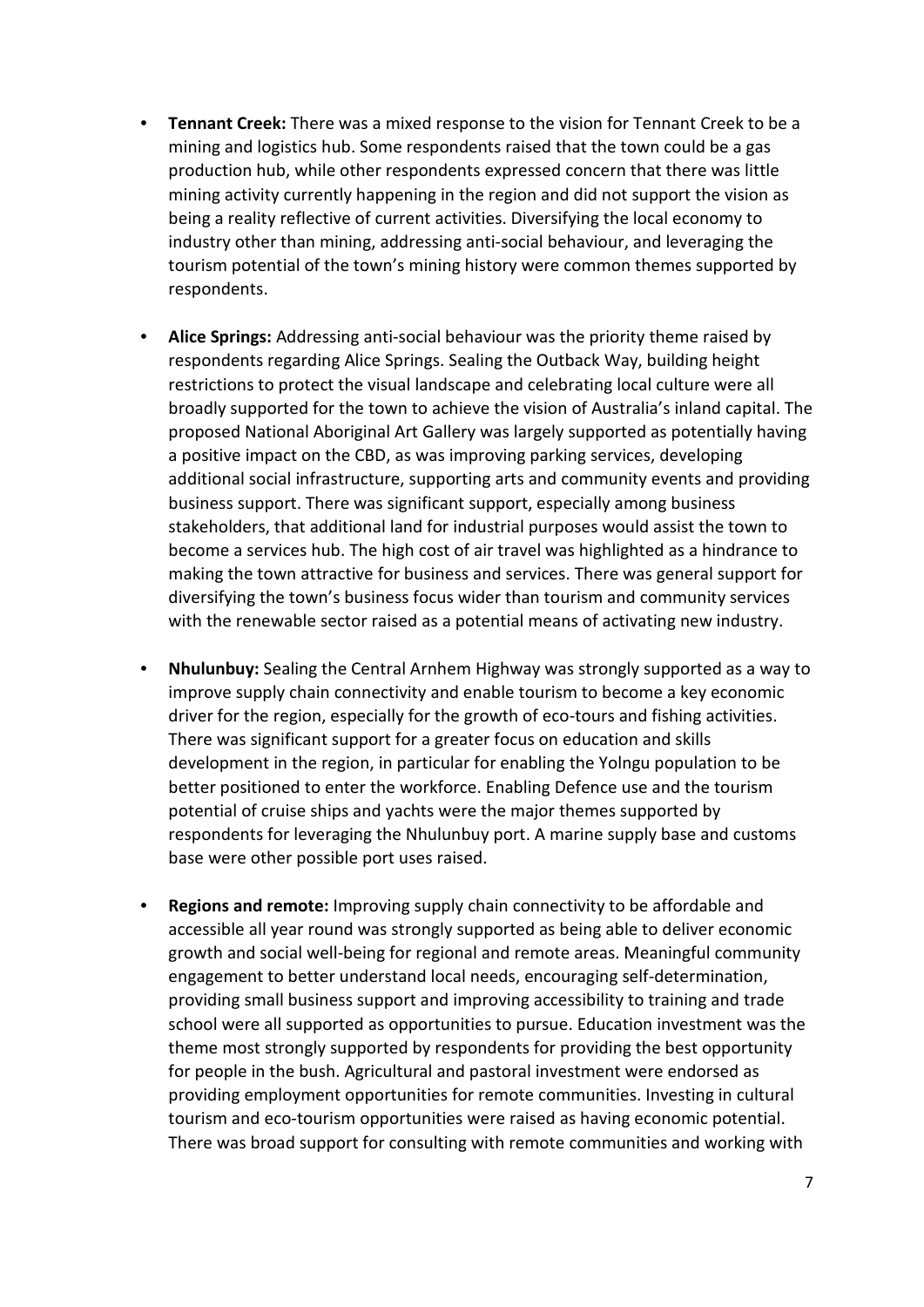- **Tennant Creek:** There was a mixed response to the vision for Tennant Creek to be a mining and logistics hub. Some respondents raised that the town could be a gas production hub, while other respondents expressed concern that there was little mining activity currently happening in the region and did not support the vision as being a reality reflective of current activities. Diversifying the local economy to industry other than mining, addressing anti-social behaviour, and leveraging the tourism potential of the town's mining history were common themes supported by respondents.
- **Alice Springs:** Addressing anti-social behaviour was the priority theme raised by respondents regarding Alice Springs. Sealing the Outback Way, building height restrictions to protect the visual landscape and celebrating local culture were all broadly supported for the town to achieve the vision of Australia's inland capital. The proposed National Aboriginal Art Gallery was largely supported as potentially having a positive impact on the CBD, as was improving parking services, developing additional social infrastructure, supporting arts and community events and providing business support. There was significant support, especially among business stakeholders, that additional land for industrial purposes would assist the town to become a services hub. The high cost of air travel was highlighted as a hindrance to making the town attractive for business and services. There was general support for diversifying the town's business focus wider than tourism and community services with the renewable sector raised as a potential means of activating new industry.
- **Nhulunbuy:** Sealing the Central Arnhem Highway was strongly supported as a way to improve supply chain connectivity and enable tourism to become a key economic driver for the region, especially for the growth of eco-tours and fishing activities. There was significant support for a greater focus on education and skills development in the region, in particular for enabling the Yolngu population to be better positioned to enter the workforce. Enabling Defence use and the tourism potential of cruise ships and yachts were the major themes supported by respondents for leveraging the Nhulunbuy port. A marine supply base and customs base were other possible port uses raised.
- **Regions and remote:** Improving supply chain connectivity to be affordable and accessible all year round was strongly supported as being able to deliver economic growth and social well-being for regional and remote areas. Meaningful community engagement to better understand local needs, encouraging self-determination, providing small business support and improving accessibility to training and trade school were all supported as opportunities to pursue. Education investment was the theme most strongly supported by respondents for providing the best opportunity for people in the bush. Agricultural and pastoral investment were endorsed as providing employment opportunities for remote communities. Investing in cultural tourism and eco-tourism opportunities were raised as having economic potential. There was broad support for consulting with remote communities and working with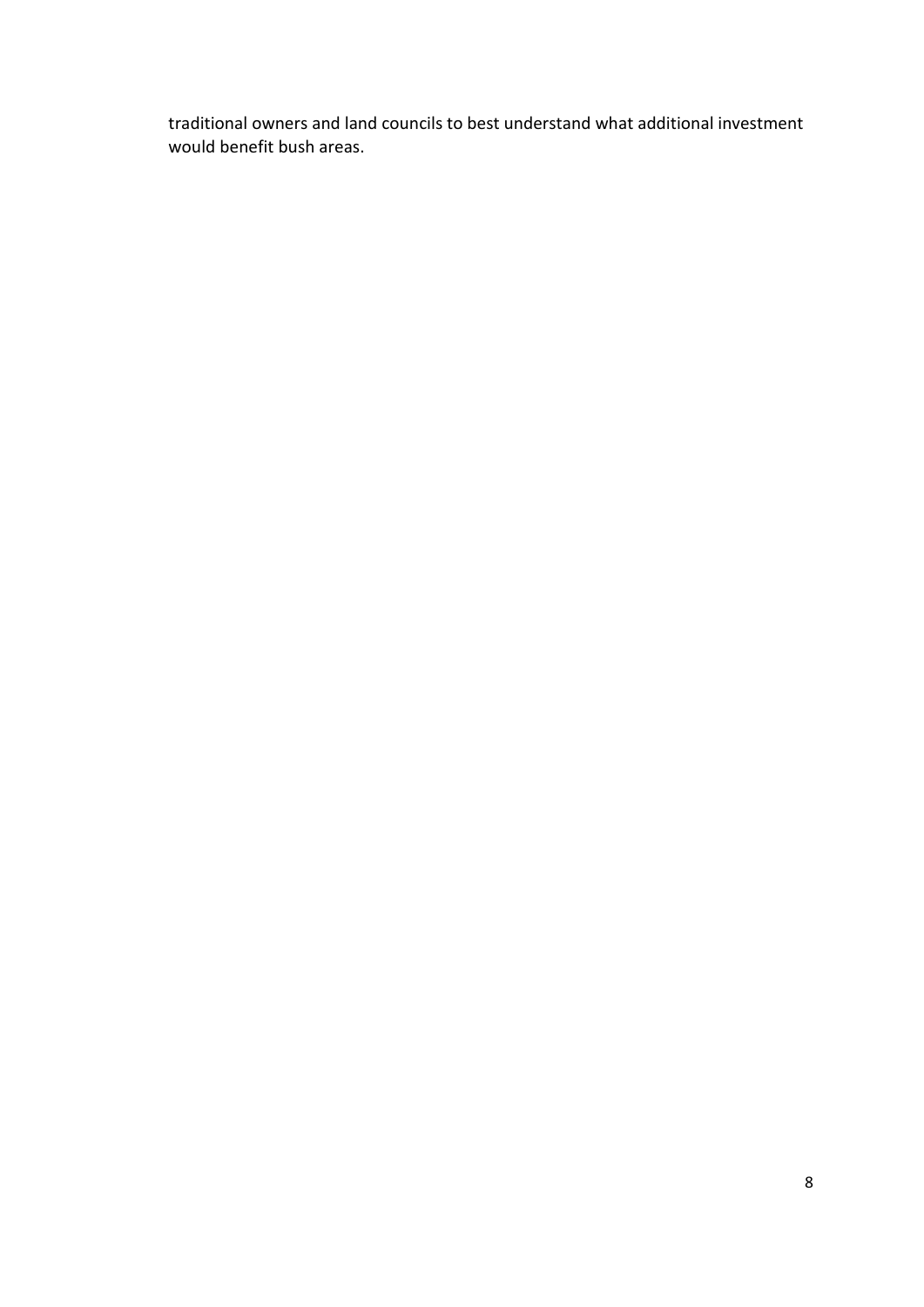traditional owners and land councils to best understand what additional investment would benefit bush areas.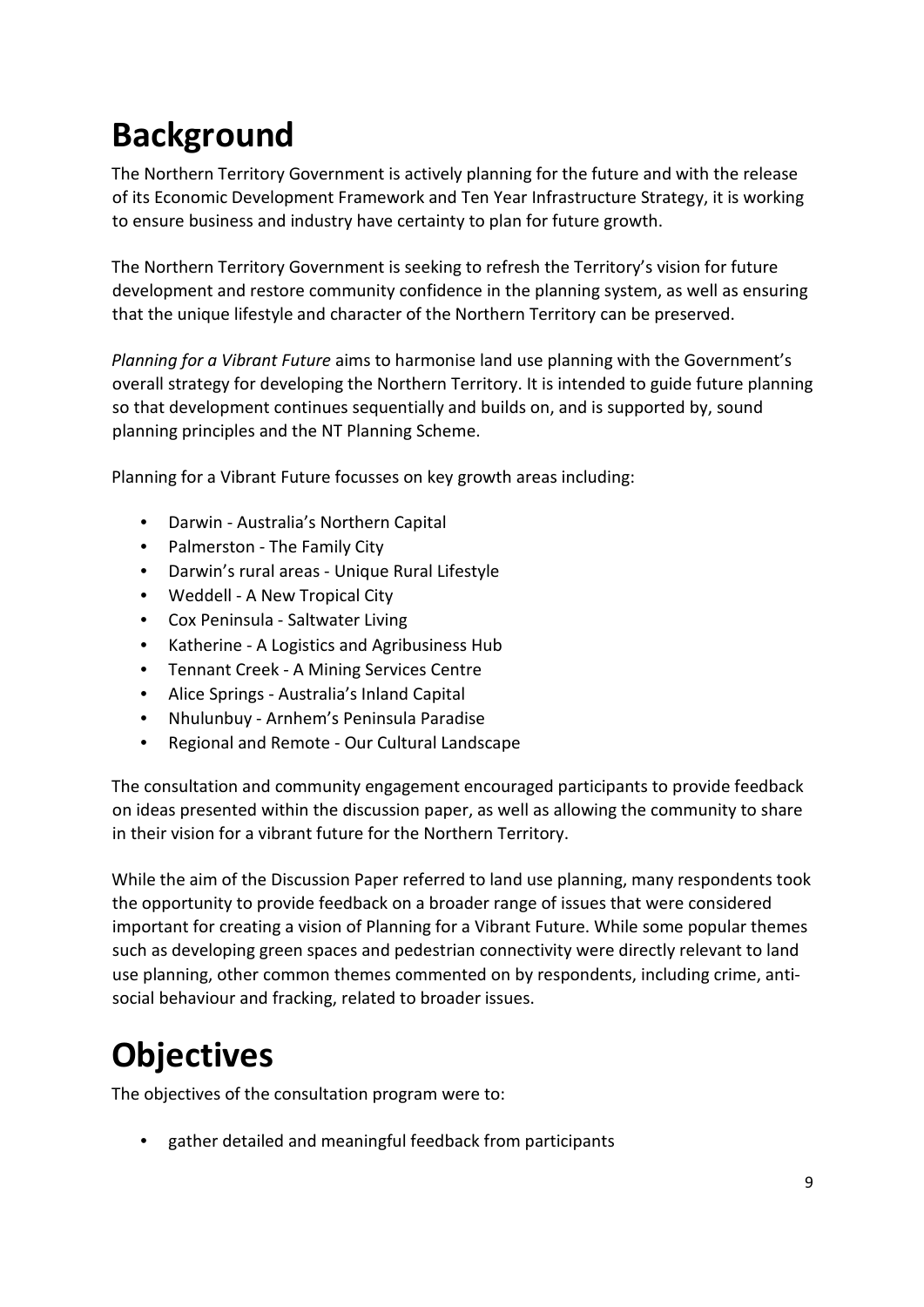# <span id="page-8-0"></span>**Background**

The Northern Territory Government is actively planning for the future and with the release of its Economic Development Framework and Ten Year Infrastructure Strategy, it is working to ensure business and industry have certainty to plan for future growth.

The Northern Territory Government is seeking to refresh the Territory's vision for future development and restore community confidence in the planning system, as well as ensuring that the unique lifestyle and character of the Northern Territory can be preserved.

*Planning for a Vibrant Future* aims to harmonise land use planning with the Government's overall strategy for developing the Northern Territory. It is intended to guide future planning so that development continues sequentially and builds on, and is supported by, sound planning principles and the NT Planning Scheme.

Planning for a Vibrant Future focusses on key growth areas including:

- Darwin Australia's Northern Capital
- Palmerston The Family City
- Darwin's rural areas Unique Rural Lifestyle
- Weddell A New Tropical City
- Cox Peninsula Saltwater Living
- Katherine A Logistics and Agribusiness Hub
- Tennant Creek A Mining Services Centre
- Alice Springs Australia's Inland Capital
- Nhulunbuy Arnhem's Peninsula Paradise
- Regional and Remote Our Cultural Landscape

The consultation and community engagement encouraged participants to provide feedback on ideas presented within the discussion paper, as well as allowing the community to share in their vision for a vibrant future for the Northern Territory.

While the aim of the Discussion Paper referred to land use planning, many respondents took the opportunity to provide feedback on a broader range of issues that were considered important for creating a vision of Planning for a Vibrant Future. While some popular themes such as developing green spaces and pedestrian connectivity were directly relevant to land use planning, other common themes commented on by respondents, including crime, antisocial behaviour and fracking, related to broader issues.

# <span id="page-8-1"></span>**Objectives**

The objectives of the consultation program were to:

• gather detailed and meaningful feedback from participants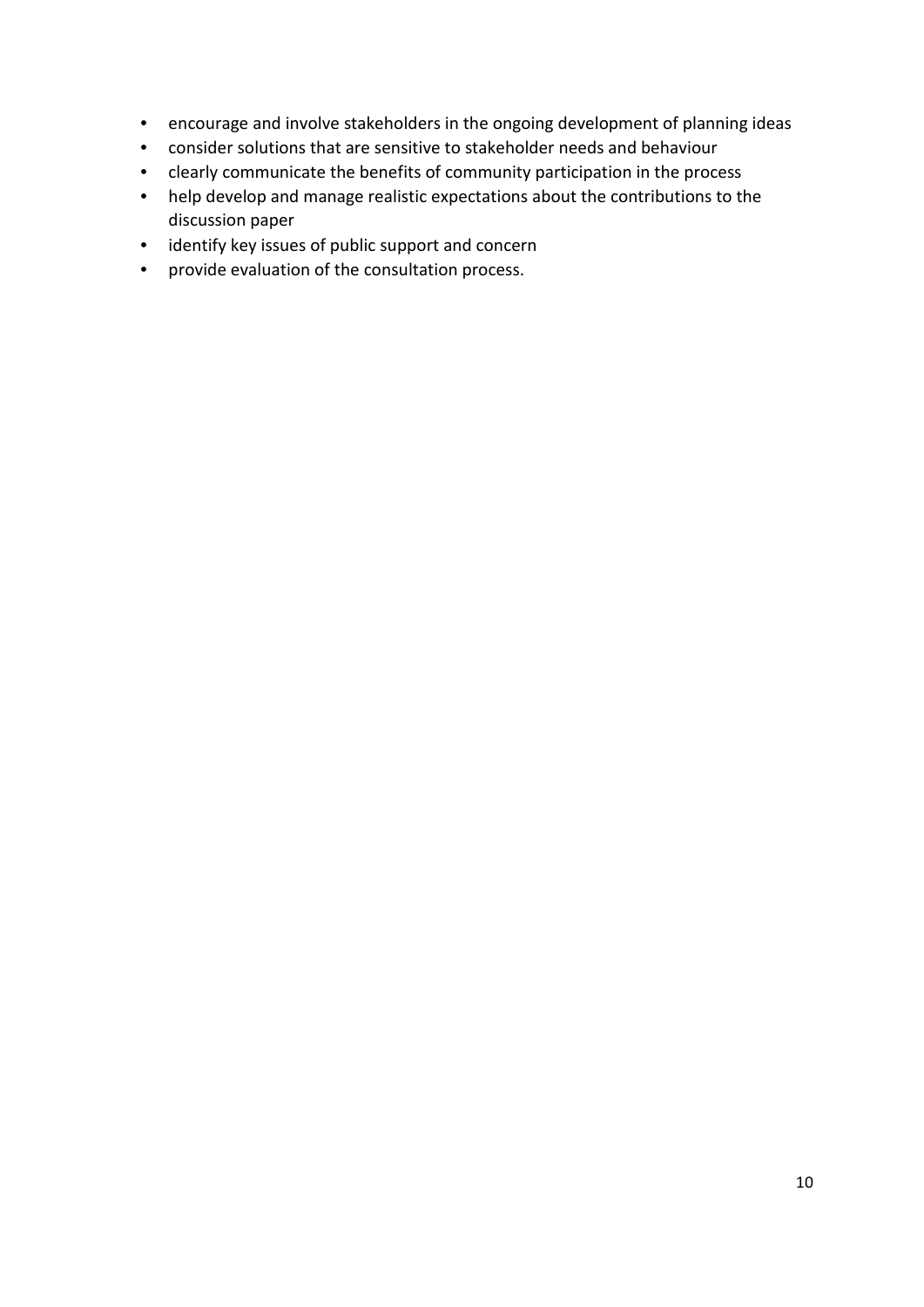- encourage and involve stakeholders in the ongoing development of planning ideas
- consider solutions that are sensitive to stakeholder needs and behaviour
- clearly communicate the benefits of community participation in the process
- help develop and manage realistic expectations about the contributions to the discussion paper
- identify key issues of public support and concern
- provide evaluation of the consultation process.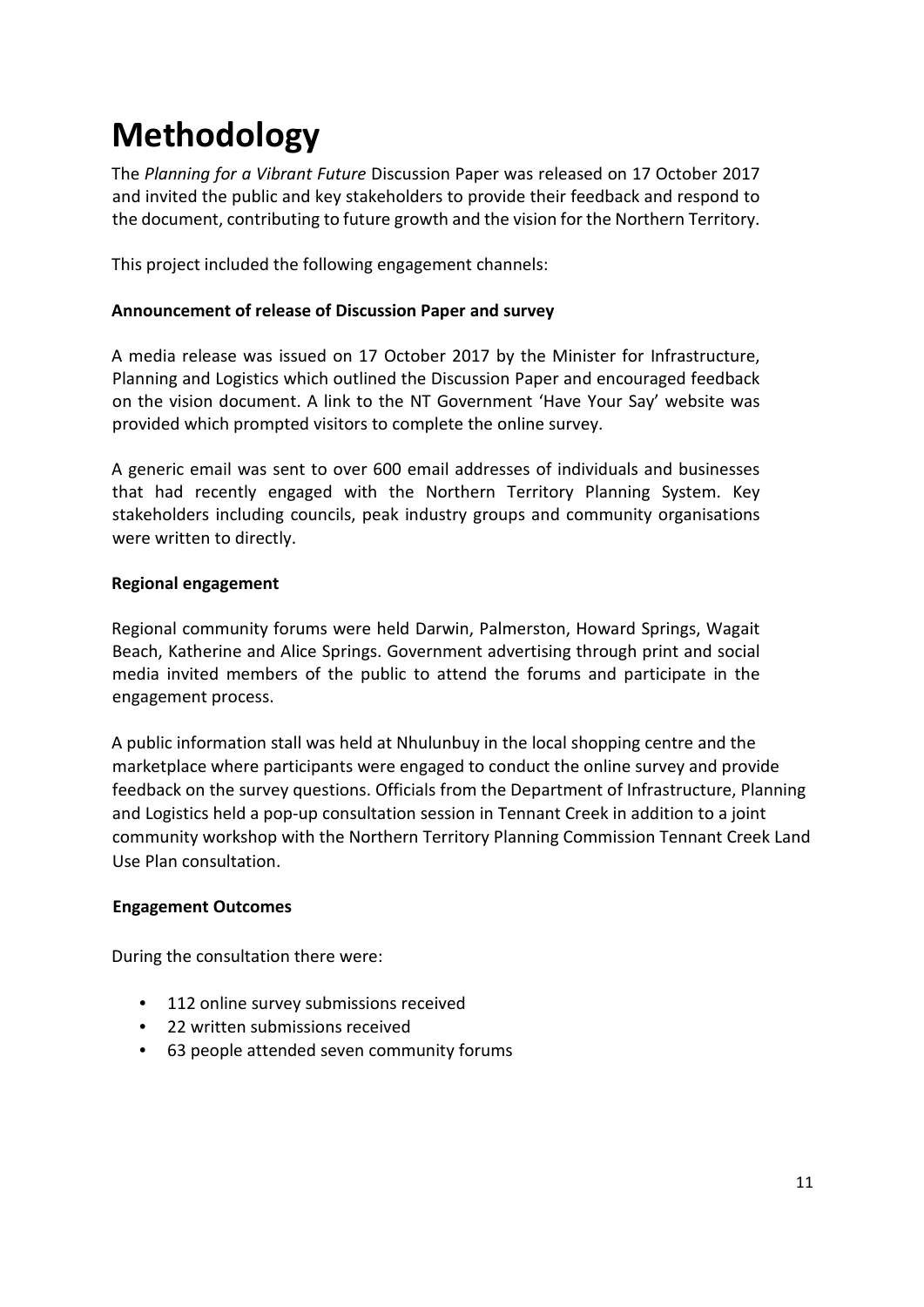# <span id="page-10-0"></span>**Methodology**

The *Planning for a Vibrant Future* Discussion Paper was released on 17 October 2017 and invited the public and key stakeholders to provide their feedback and respond to the document, contributing to future growth and the vision for the Northern Territory.

This project included the following engagement channels:

#### **Announcement of release of Discussion Paper and survey**

A media release was issued on 17 October 2017 by the Minister for Infrastructure, Planning and Logistics which outlined the Discussion Paper and encouraged feedback on the vision document. A link to the NT Government 'Have Your Say' website was provided which prompted visitors to complete the online survey.

A generic email was sent to over 600 email addresses of individuals and businesses that had recently engaged with the Northern Territory Planning System. Key stakeholders including councils, peak industry groups and community organisations were written to directly.

#### **Regional engagement**

Regional community forums were held Darwin, Palmerston, Howard Springs, Wagait Beach, Katherine and Alice Springs. Government advertising through print and social media invited members of the public to attend the forums and participate in the engagement process.

A public information stall was held at Nhulunbuy in the local shopping centre and the marketplace where participants were engaged to conduct the online survey and provide feedback on the survey questions. Officials from the Department of Infrastructure, Planning and Logistics held a pop-up consultation session in Tennant Creek in addition to a joint community workshop with the Northern Territory Planning Commission Tennant Creek Land Use Plan consultation.

#### **Engagement Outcomes**

During the consultation there were:

- 112 online survey submissions received
- 22 written submissions received
- 63 people attended seven community forums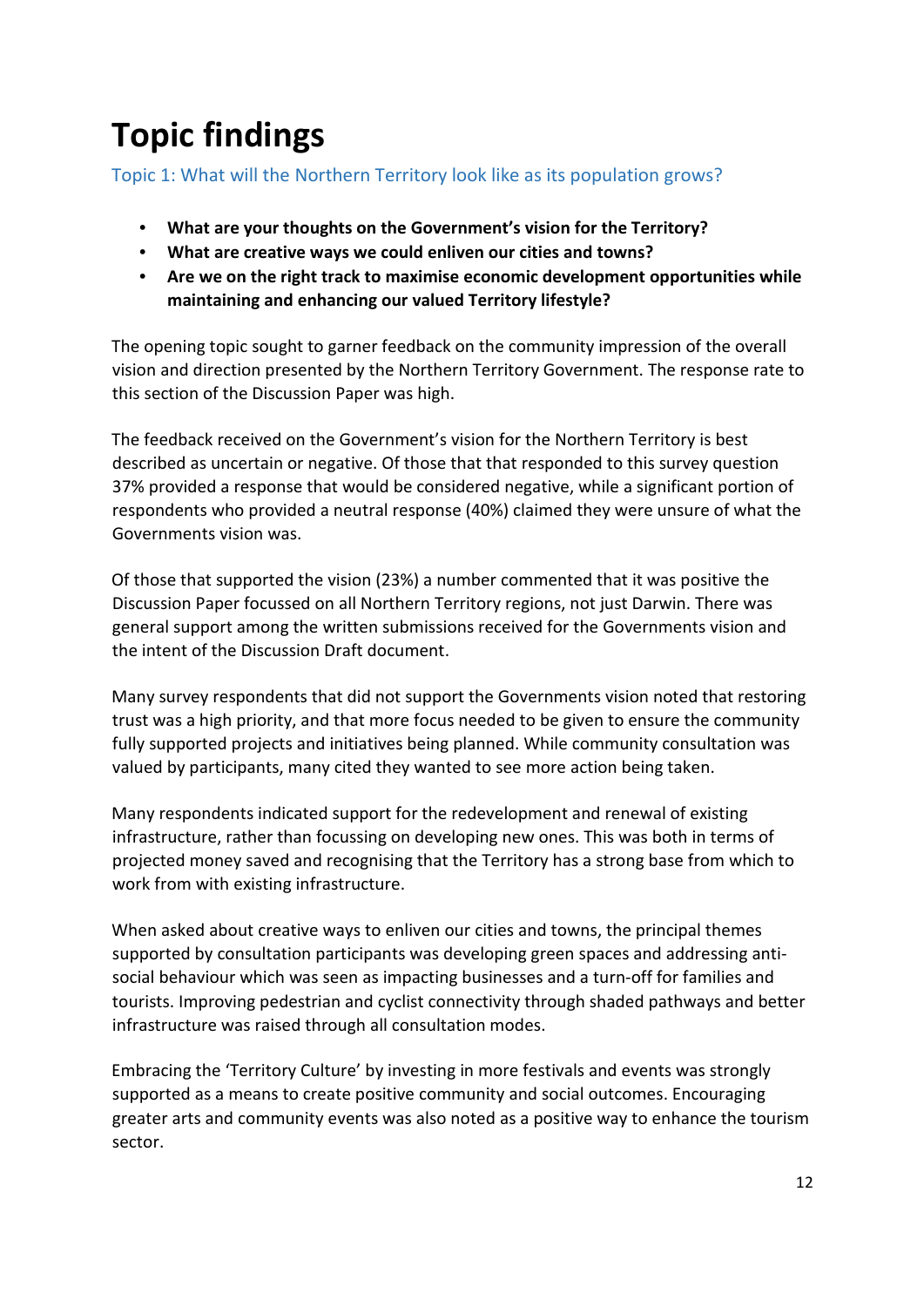# <span id="page-11-0"></span>**Topic findings**

## <span id="page-11-1"></span>Topic 1: What will the Northern Territory look like as its population grows?

- **What are your thoughts on the Government's vision for the Territory?**
- **What are creative ways we could enliven our cities and towns?**
- **Are we on the right track to maximise economic development opportunities while maintaining and enhancing our valued Territory lifestyle?**

The opening topic sought to garner feedback on the community impression of the overall vision and direction presented by the Northern Territory Government. The response rate to this section of the Discussion Paper was high.

The feedback received on the Government's vision for the Northern Territory is best described as uncertain or negative. Of those that that responded to this survey question 37% provided a response that would be considered negative, while a significant portion of respondents who provided a neutral response (40%) claimed they were unsure of what the Governments vision was.

Of those that supported the vision (23%) a number commented that it was positive the Discussion Paper focussed on all Northern Territory regions, not just Darwin. There was general support among the written submissions received for the Governments vision and the intent of the Discussion Draft document.

Many survey respondents that did not support the Governments vision noted that restoring trust was a high priority, and that more focus needed to be given to ensure the community fully supported projects and initiatives being planned. While community consultation was valued by participants, many cited they wanted to see more action being taken.

Many respondents indicated support for the redevelopment and renewal of existing infrastructure, rather than focussing on developing new ones. This was both in terms of projected money saved and recognising that the Territory has a strong base from which to work from with existing infrastructure.

When asked about creative ways to enliven our cities and towns, the principal themes supported by consultation participants was developing green spaces and addressing antisocial behaviour which was seen as impacting businesses and a turn-off for families and tourists. Improving pedestrian and cyclist connectivity through shaded pathways and better infrastructure was raised through all consultation modes.

Embracing the 'Territory Culture' by investing in more festivals and events was strongly supported as a means to create positive community and social outcomes. Encouraging greater arts and community events was also noted as a positive way to enhance the tourism sector.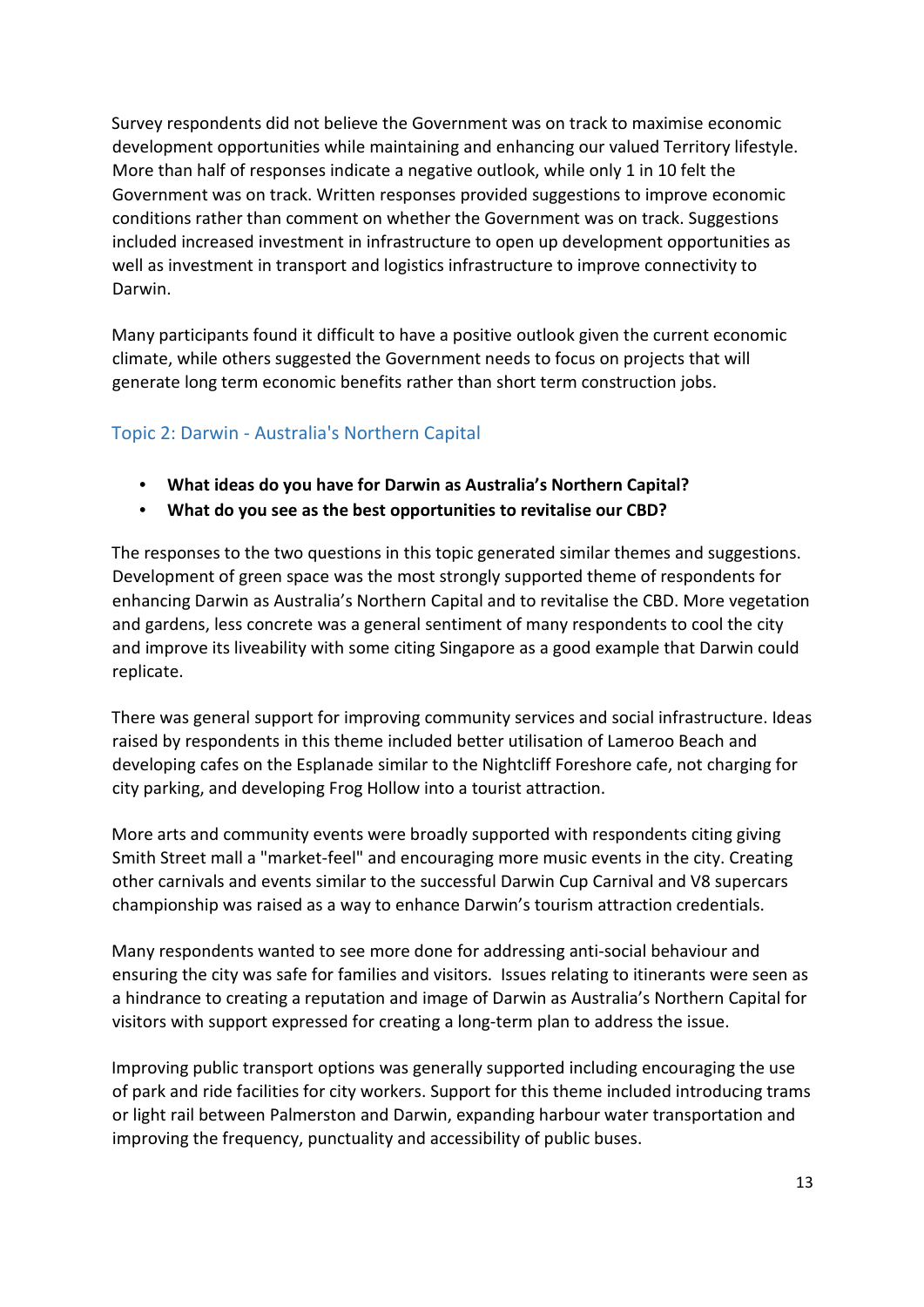Survey respondents did not believe the Government was on track to maximise economic development opportunities while maintaining and enhancing our valued Territory lifestyle. More than half of responses indicate a negative outlook, while only 1 in 10 felt the Government was on track. Written responses provided suggestions to improve economic conditions rather than comment on whether the Government was on track. Suggestions included increased investment in infrastructure to open up development opportunities as well as investment in transport and logistics infrastructure to improve connectivity to Darwin.

Many participants found it difficult to have a positive outlook given the current economic climate, while others suggested the Government needs to focus on projects that will generate long term economic benefits rather than short term construction jobs.

### <span id="page-12-0"></span>Topic 2: Darwin - Australia's Northern Capital

- **What ideas do you have for Darwin as Australia's Northern Capital?**
- **What do you see as the best opportunities to revitalise our CBD?**

The responses to the two questions in this topic generated similar themes and suggestions. Development of green space was the most strongly supported theme of respondents for enhancing Darwin as Australia's Northern Capital and to revitalise the CBD. More vegetation and gardens, less concrete was a general sentiment of many respondents to cool the city and improve its liveability with some citing Singapore as a good example that Darwin could replicate.

There was general support for improving community services and social infrastructure. Ideas raised by respondents in this theme included better utilisation of Lameroo Beach and developing cafes on the Esplanade similar to the Nightcliff Foreshore cafe, not charging for city parking, and developing Frog Hollow into a tourist attraction.

More arts and community events were broadly supported with respondents citing giving Smith Street mall a "market-feel" and encouraging more music events in the city. Creating other carnivals and events similar to the successful Darwin Cup Carnival and V8 supercars championship was raised as a way to enhance Darwin's tourism attraction credentials.

Many respondents wanted to see more done for addressing anti-social behaviour and ensuring the city was safe for families and visitors. Issues relating to itinerants were seen as a hindrance to creating a reputation and image of Darwin as Australia's Northern Capital for visitors with support expressed for creating a long-term plan to address the issue.

Improving public transport options was generally supported including encouraging the use of park and ride facilities for city workers. Support for this theme included introducing trams or light rail between Palmerston and Darwin, expanding harbour water transportation and improving the frequency, punctuality and accessibility of public buses.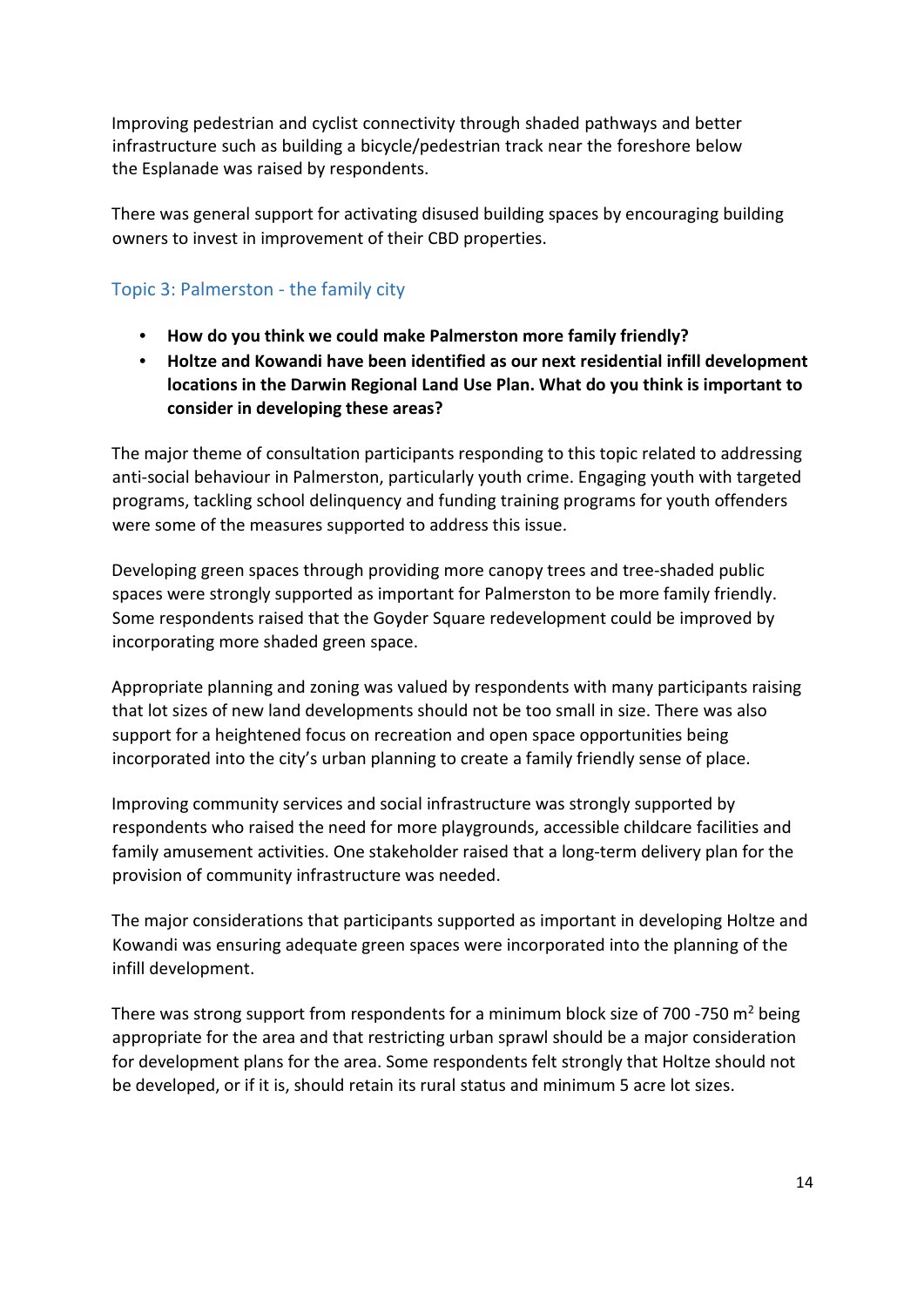Improving pedestrian and cyclist connectivity through shaded pathways and better infrastructure such as building a bicycle/pedestrian track near the foreshore below the Esplanade was raised by respondents.

There was general support for activating disused building spaces by encouraging building owners to invest in improvement of their CBD properties.

### <span id="page-13-0"></span>Topic 3: Palmerston - the family city

- **How do you think we could make Palmerston more family friendly?**
- **Holtze and Kowandi have been identified as our next residential infill development locations in the Darwin Regional Land Use Plan. What do you think is important to consider in developing these areas?**

The major theme of consultation participants responding to this topic related to addressing anti-social behaviour in Palmerston, particularly youth crime. Engaging youth with targeted programs, tackling school delinquency and funding training programs for youth offenders were some of the measures supported to address this issue.

Developing green spaces through providing more canopy trees and tree-shaded public spaces were strongly supported as important for Palmerston to be more family friendly. Some respondents raised that the Goyder Square redevelopment could be improved by incorporating more shaded green space.

Appropriate planning and zoning was valued by respondents with many participants raising that lot sizes of new land developments should not be too small in size. There was also support for a heightened focus on recreation and open space opportunities being incorporated into the city's urban planning to create a family friendly sense of place.

Improving community services and social infrastructure was strongly supported by respondents who raised the need for more playgrounds, accessible childcare facilities and family amusement activities. One stakeholder raised that a long-term delivery plan for the provision of community infrastructure was needed.

The major considerations that participants supported as important in developing Holtze and Kowandi was ensuring adequate green spaces were incorporated into the planning of the infill development.

There was strong support from respondents for a minimum block size of 700 -750  $m<sup>2</sup>$  being appropriate for the area and that restricting urban sprawl should be a major consideration for development plans for the area. Some respondents felt strongly that Holtze should not be developed, or if it is, should retain its rural status and minimum 5 acre lot sizes.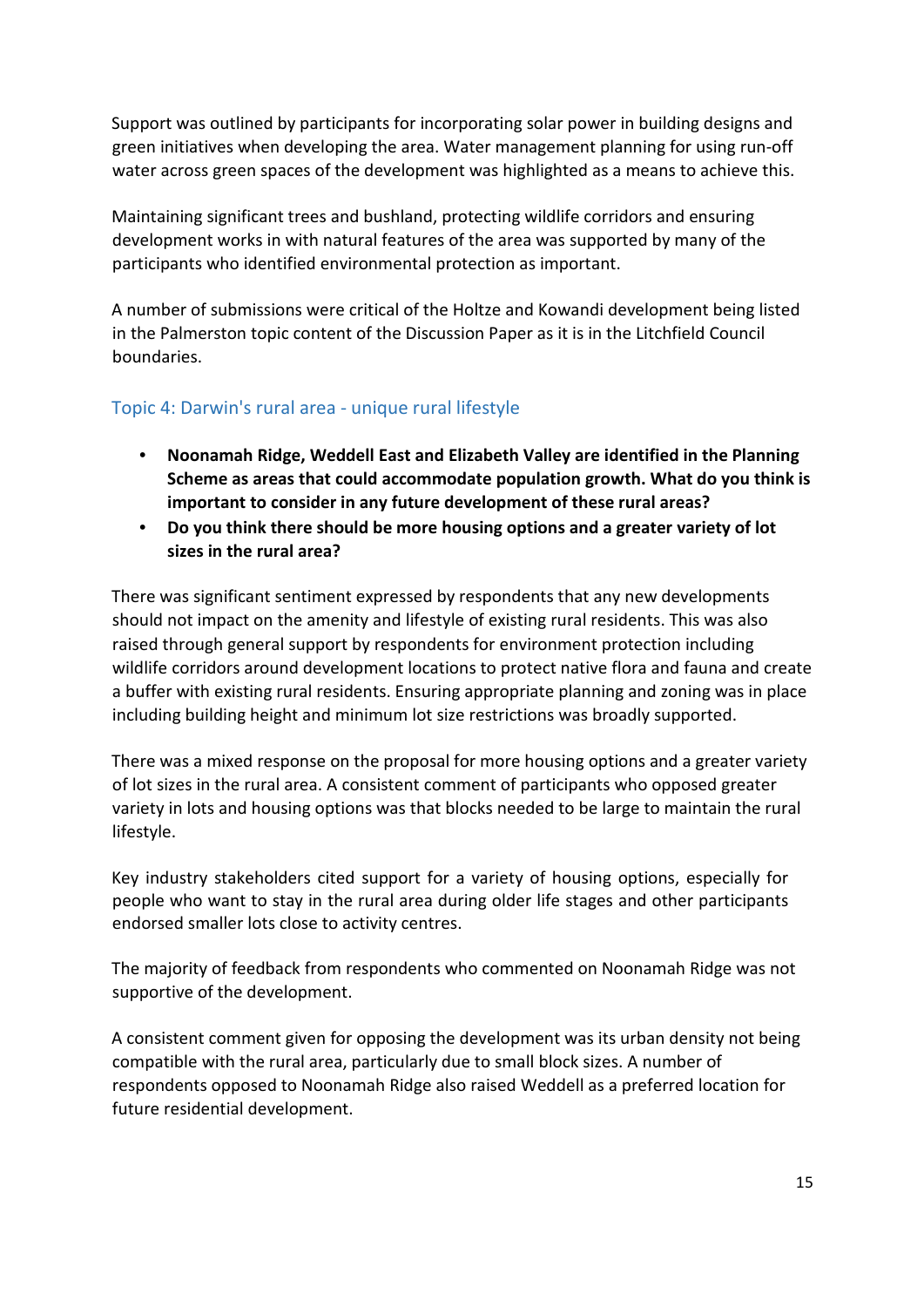Support was outlined by participants for incorporating solar power in building designs and green initiatives when developing the area. Water management planning for using run-off water across green spaces of the development was highlighted as a means to achieve this.

Maintaining significant trees and bushland, protecting wildlife corridors and ensuring development works in with natural features of the area was supported by many of the participants who identified environmental protection as important.

A number of submissions were critical of the Holtze and Kowandi development being listed in the Palmerston topic content of the Discussion Paper as it is in the Litchfield Council boundaries.

### <span id="page-14-0"></span>Topic 4: Darwin's rural area - unique rural lifestyle

- **Noonamah Ridge, Weddell East and Elizabeth Valley are identified in the Planning Scheme as areas that could accommodate population growth. What do you think is important to consider in any future development of these rural areas?**
- **Do you think there should be more housing options and a greater variety of lot sizes in the rural area?**

There was significant sentiment expressed by respondents that any new developments should not impact on the amenity and lifestyle of existing rural residents. This was also raised through general support by respondents for environment protection including wildlife corridors around development locations to protect native flora and fauna and create a buffer with existing rural residents. Ensuring appropriate planning and zoning was in place including building height and minimum lot size restrictions was broadly supported.

There was a mixed response on the proposal for more housing options and a greater variety of lot sizes in the rural area. A consistent comment of participants who opposed greater variety in lots and housing options was that blocks needed to be large to maintain the rural lifestyle.

Key industry stakeholders cited support for a variety of housing options, especially for people who want to stay in the rural area during older life stages and other participants endorsed smaller lots close to activity centres.

The majority of feedback from respondents who commented on Noonamah Ridge was not supportive of the development.

A consistent comment given for opposing the development was its urban density not being compatible with the rural area, particularly due to small block sizes. A number of respondents opposed to Noonamah Ridge also raised Weddell as a preferred location for future residential development.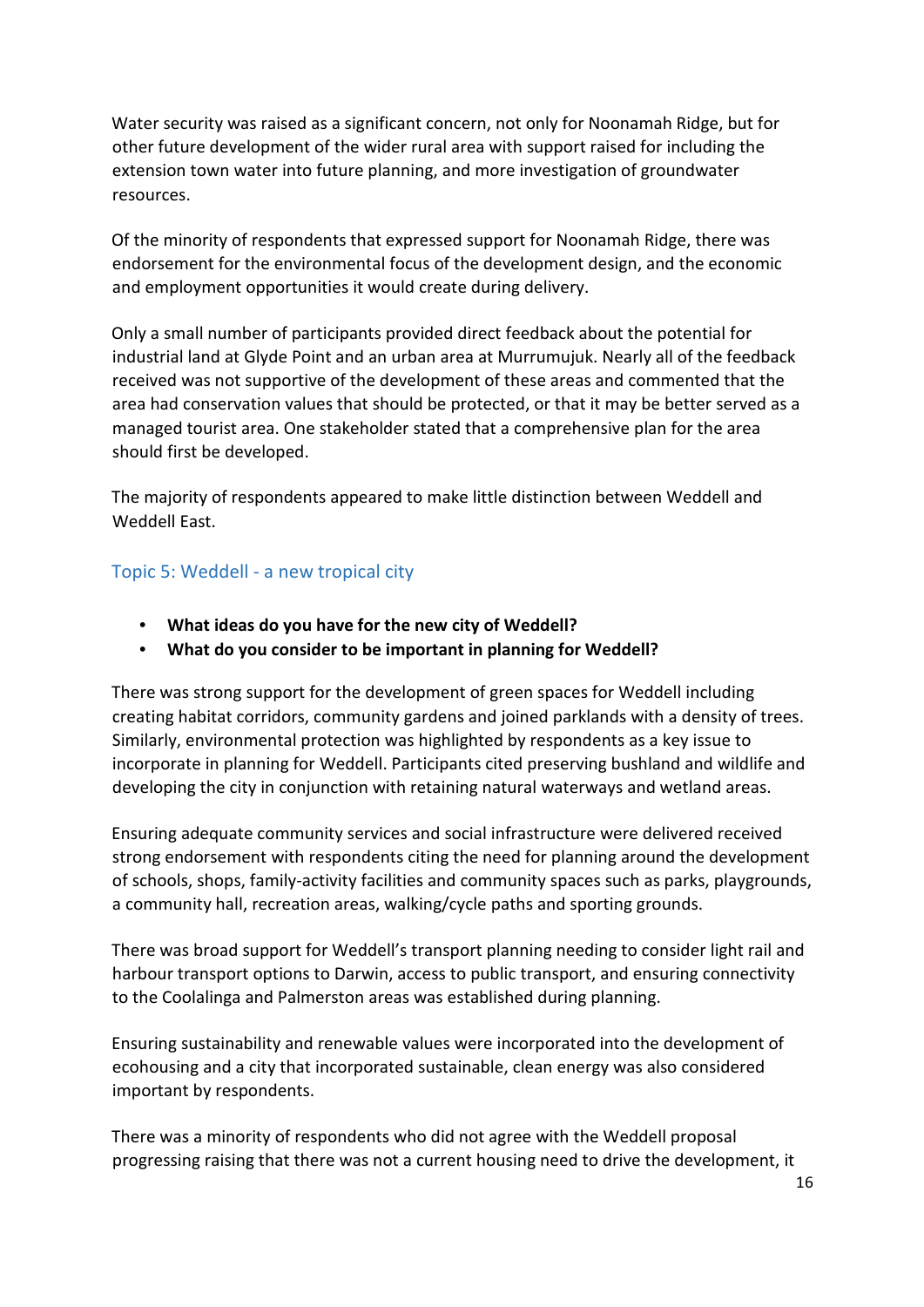Water security was raised as a significant concern, not only for Noonamah Ridge, but for other future development of the wider rural area with support raised for including the extension town water into future planning, and more investigation of groundwater resources.

Of the minority of respondents that expressed support for Noonamah Ridge, there was endorsement for the environmental focus of the development design, and the economic and employment opportunities it would create during delivery.

Only a small number of participants provided direct feedback about the potential for industrial land at Glyde Point and an urban area at Murrumujuk. Nearly all of the feedback received was not supportive of the development of these areas and commented that the area had conservation values that should be protected, or that it may be better served as a managed tourist area. One stakeholder stated that a comprehensive plan for the area should first be developed.

The majority of respondents appeared to make little distinction between Weddell and Weddell East.

### <span id="page-15-0"></span>Topic 5: Weddell - a new tropical city

- **What ideas do you have for the new city of Weddell?**
- **What do you consider to be important in planning for Weddell?**

There was strong support for the development of green spaces for Weddell including creating habitat corridors, community gardens and joined parklands with a density of trees. Similarly, environmental protection was highlighted by respondents as a key issue to incorporate in planning for Weddell. Participants cited preserving bushland and wildlife and developing the city in conjunction with retaining natural waterways and wetland areas.

Ensuring adequate community services and social infrastructure were delivered received strong endorsement with respondents citing the need for planning around the development of schools, shops, family-activity facilities and community spaces such as parks, playgrounds, a community hall, recreation areas, walking/cycle paths and sporting grounds.

There was broad support for Weddell's transport planning needing to consider light rail and harbour transport options to Darwin, access to public transport, and ensuring connectivity to the Coolalinga and Palmerston areas was established during planning.

Ensuring sustainability and renewable values were incorporated into the development of ecohousing and a city that incorporated sustainable, clean energy was also considered important by respondents.

There was a minority of respondents who did not agree with the Weddell proposal progressing raising that there was not a current housing need to drive the development, it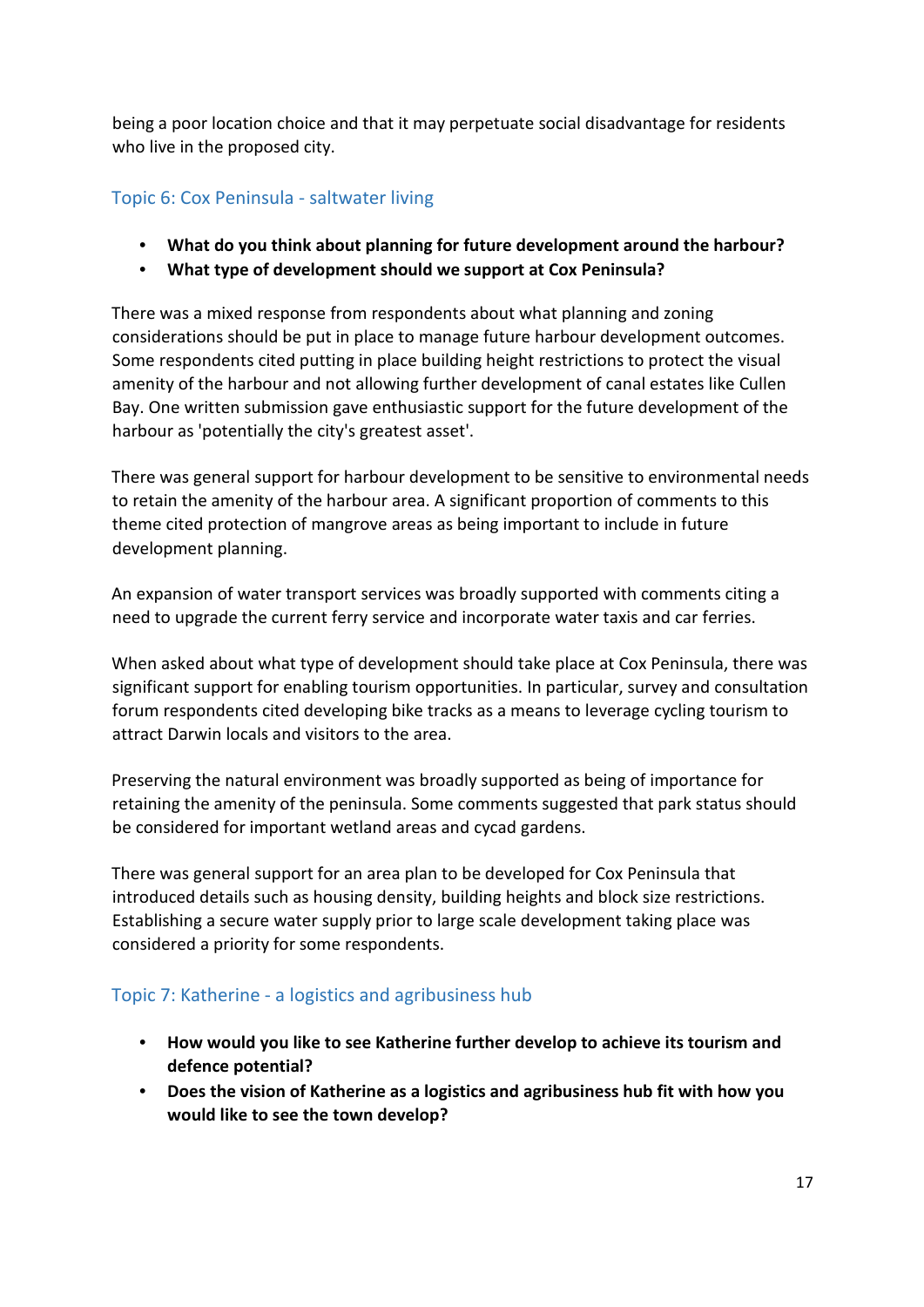being a poor location choice and that it may perpetuate social disadvantage for residents who live in the proposed city.

#### <span id="page-16-0"></span>Topic 6: Cox Peninsula - saltwater living

- **What do you think about planning for future development around the harbour?**
- **What type of development should we support at Cox Peninsula?**

There was a mixed response from respondents about what planning and zoning considerations should be put in place to manage future harbour development outcomes. Some respondents cited putting in place building height restrictions to protect the visual amenity of the harbour and not allowing further development of canal estates like Cullen Bay. One written submission gave enthusiastic support for the future development of the harbour as 'potentially the city's greatest asset'.

There was general support for harbour development to be sensitive to environmental needs to retain the amenity of the harbour area. A significant proportion of comments to this theme cited protection of mangrove areas as being important to include in future development planning.

An expansion of water transport services was broadly supported with comments citing a need to upgrade the current ferry service and incorporate water taxis and car ferries.

When asked about what type of development should take place at Cox Peninsula, there was significant support for enabling tourism opportunities. In particular, survey and consultation forum respondents cited developing bike tracks as a means to leverage cycling tourism to attract Darwin locals and visitors to the area.

Preserving the natural environment was broadly supported as being of importance for retaining the amenity of the peninsula. Some comments suggested that park status should be considered for important wetland areas and cycad gardens.

There was general support for an area plan to be developed for Cox Peninsula that introduced details such as housing density, building heights and block size restrictions. Establishing a secure water supply prior to large scale development taking place was considered a priority for some respondents.

#### <span id="page-16-1"></span>Topic 7: Katherine - a logistics and agribusiness hub

- **How would you like to see Katherine further develop to achieve its tourism and defence potential?**
- **Does the vision of Katherine as a logistics and agribusiness hub fit with how you would like to see the town develop?**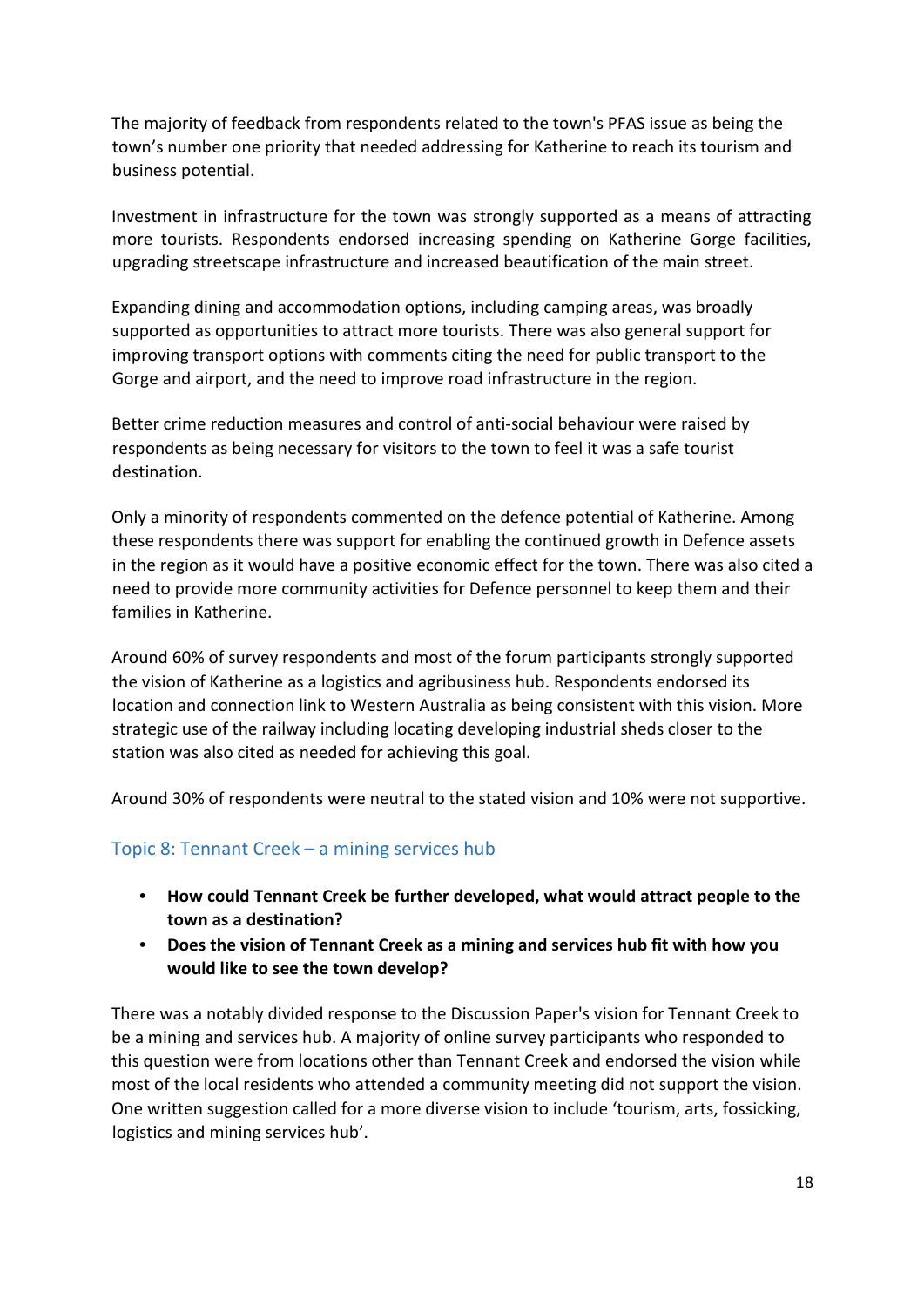The majority of feedback from respondents related to the town's PFAS issue as being the town's number one priority that needed addressing for Katherine to reach its tourism and business potential.

Investment in infrastructure for the town was strongly supported as a means of attracting more tourists. Respondents endorsed increasing spending on Katherine Gorge facilities, upgrading streetscape infrastructure and increased beautification of the main street.

Expanding dining and accommodation options, including camping areas, was broadly supported as opportunities to attract more tourists. There was also general support for improving transport options with comments citing the need for public transport to the Gorge and airport, and the need to improve road infrastructure in the region.

Better crime reduction measures and control of anti-social behaviour were raised by respondents as being necessary for visitors to the town to feel it was a safe tourist destination.

Only a minority of respondents commented on the defence potential of Katherine. Among these respondents there was support for enabling the continued growth in Defence assets in the region as it would have a positive economic effect for the town. There was also cited a need to provide more community activities for Defence personnel to keep them and their families in Katherine.

Around 60% of survey respondents and most of the forum participants strongly supported the vision of Katherine as a logistics and agribusiness hub. Respondents endorsed its location and connection link to Western Australia as being consistent with this vision. More strategic use of the railway including locating developing industrial sheds closer to the station was also cited as needed for achieving this goal.

Around 30% of respondents were neutral to the stated vision and 10% were not supportive.

#### <span id="page-17-0"></span>Topic 8: Tennant Creek – a mining services hub

- **How could Tennant Creek be further developed, what would attract people to the town as a destination?**
- **Does the vision of Tennant Creek as a mining and services hub fit with how you would like to see the town develop?**

There was a notably divided response to the Discussion Paper's vision for Tennant Creek to be a mining and services hub. A majority of online survey participants who responded to this question were from locations other than Tennant Creek and endorsed the vision while most of the local residents who attended a community meeting did not support the vision. One written suggestion called for a more diverse vision to include 'tourism, arts, fossicking, logistics and mining services hub'.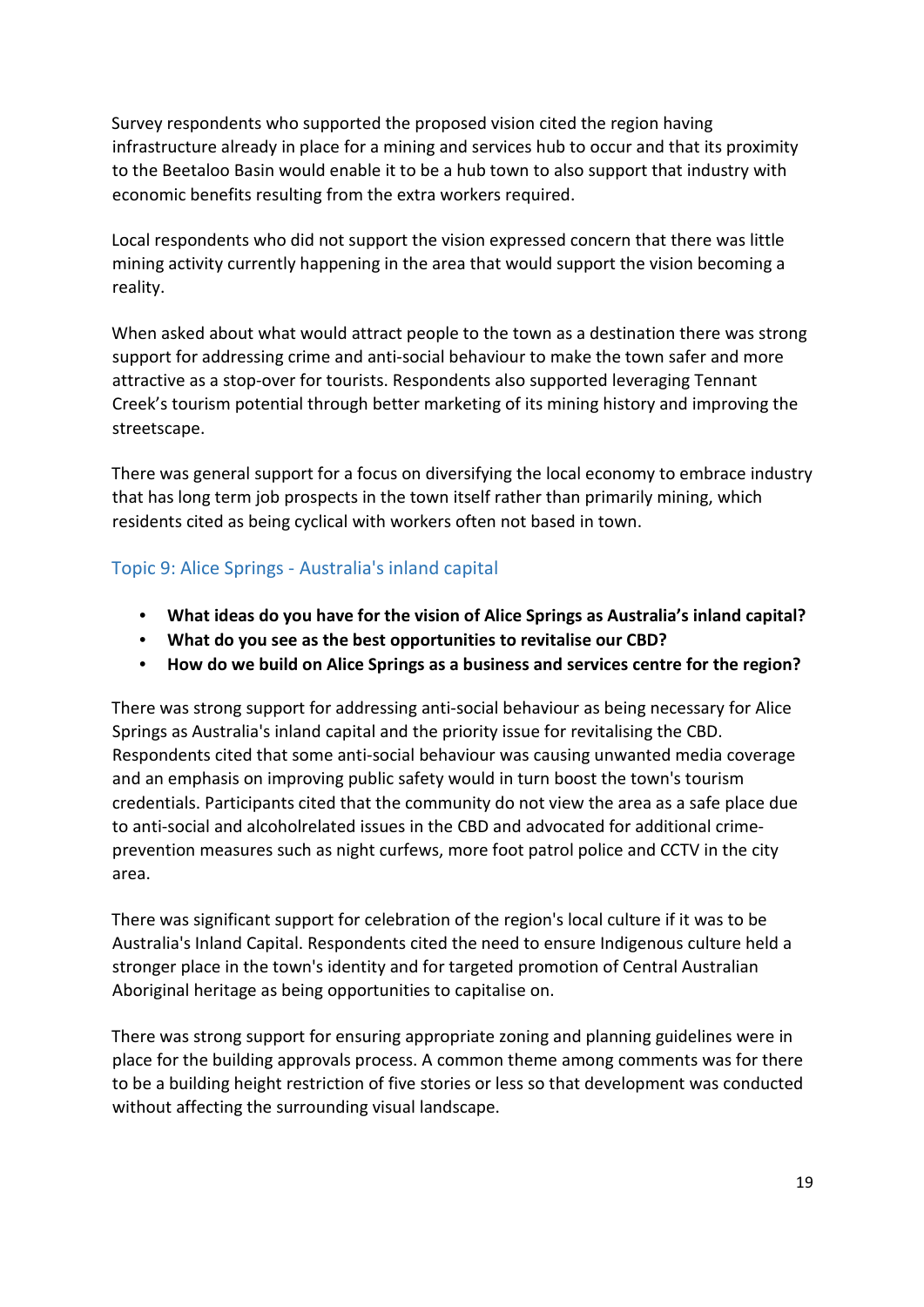Survey respondents who supported the proposed vision cited the region having infrastructure already in place for a mining and services hub to occur and that its proximity to the Beetaloo Basin would enable it to be a hub town to also support that industry with economic benefits resulting from the extra workers required.

Local respondents who did not support the vision expressed concern that there was little mining activity currently happening in the area that would support the vision becoming a reality.

When asked about what would attract people to the town as a destination there was strong support for addressing crime and anti-social behaviour to make the town safer and more attractive as a stop-over for tourists. Respondents also supported leveraging Tennant Creek's tourism potential through better marketing of its mining history and improving the streetscape.

There was general support for a focus on diversifying the local economy to embrace industry that has long term job prospects in the town itself rather than primarily mining, which residents cited as being cyclical with workers often not based in town.

## <span id="page-18-0"></span>Topic 9: Alice Springs - Australia's inland capital

- **What ideas do you have for the vision of Alice Springs as Australia's inland capital?**
- **What do you see as the best opportunities to revitalise our CBD?**
- **How do we build on Alice Springs as a business and services centre for the region?**

There was strong support for addressing anti-social behaviour as being necessary for Alice Springs as Australia's inland capital and the priority issue for revitalising the CBD. Respondents cited that some anti-social behaviour was causing unwanted media coverage and an emphasis on improving public safety would in turn boost the town's tourism credentials. Participants cited that the community do not view the area as a safe place due to anti-social and alcoholrelated issues in the CBD and advocated for additional crimeprevention measures such as night curfews, more foot patrol police and CCTV in the city area.

There was significant support for celebration of the region's local culture if it was to be Australia's Inland Capital. Respondents cited the need to ensure Indigenous culture held a stronger place in the town's identity and for targeted promotion of Central Australian Aboriginal heritage as being opportunities to capitalise on.

There was strong support for ensuring appropriate zoning and planning guidelines were in place for the building approvals process. A common theme among comments was for there to be a building height restriction of five stories or less so that development was conducted without affecting the surrounding visual landscape.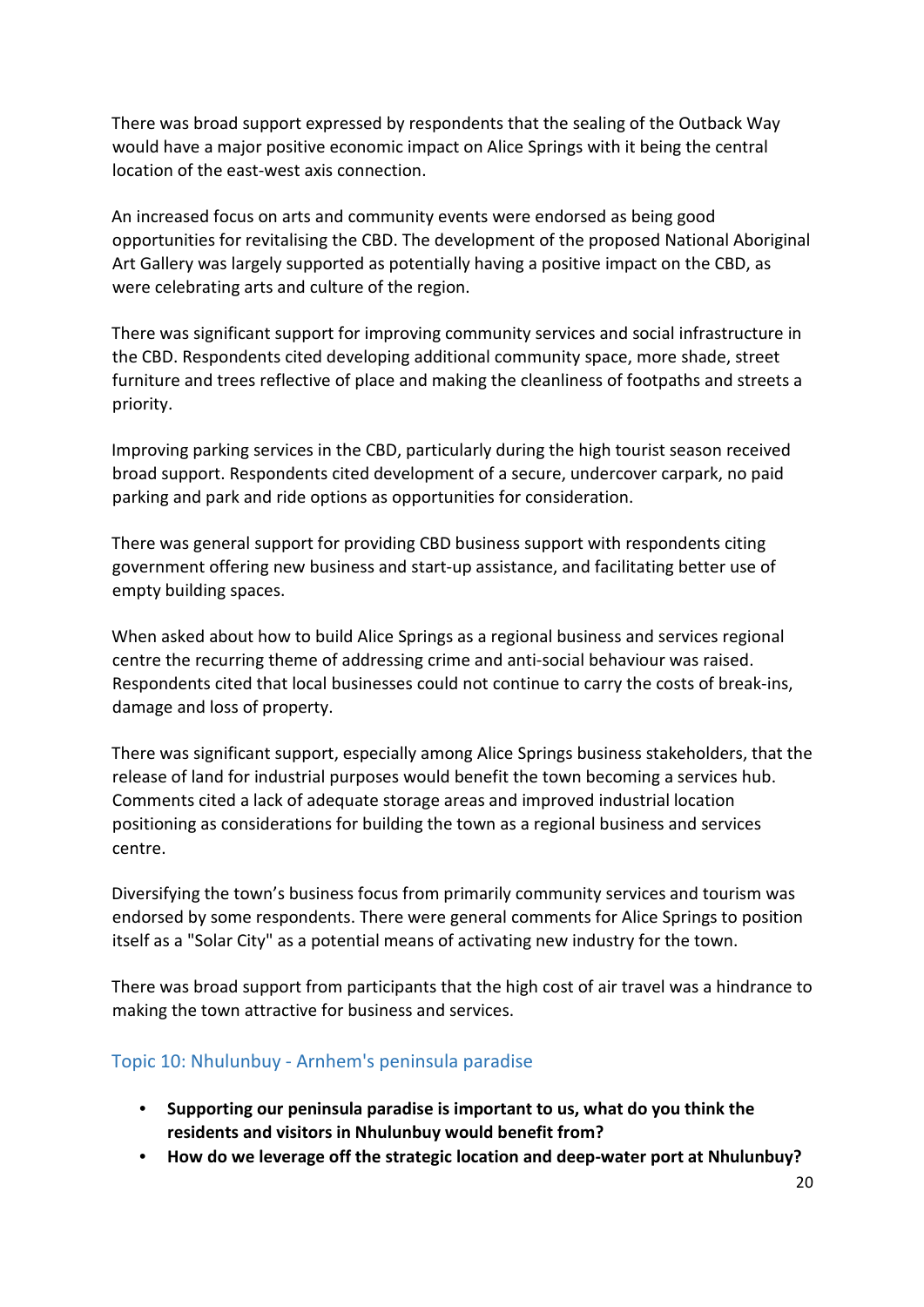There was broad support expressed by respondents that the sealing of the Outback Way would have a major positive economic impact on Alice Springs with it being the central location of the east-west axis connection.

An increased focus on arts and community events were endorsed as being good opportunities for revitalising the CBD. The development of the proposed National Aboriginal Art Gallery was largely supported as potentially having a positive impact on the CBD, as were celebrating arts and culture of the region.

There was significant support for improving community services and social infrastructure in the CBD. Respondents cited developing additional community space, more shade, street furniture and trees reflective of place and making the cleanliness of footpaths and streets a priority.

Improving parking services in the CBD, particularly during the high tourist season received broad support. Respondents cited development of a secure, undercover carpark, no paid parking and park and ride options as opportunities for consideration.

There was general support for providing CBD business support with respondents citing government offering new business and start-up assistance, and facilitating better use of empty building spaces.

When asked about how to build Alice Springs as a regional business and services regional centre the recurring theme of addressing crime and anti-social behaviour was raised. Respondents cited that local businesses could not continue to carry the costs of break-ins, damage and loss of property.

There was significant support, especially among Alice Springs business stakeholders, that the release of land for industrial purposes would benefit the town becoming a services hub. Comments cited a lack of adequate storage areas and improved industrial location positioning as considerations for building the town as a regional business and services centre.

Diversifying the town's business focus from primarily community services and tourism was endorsed by some respondents. There were general comments for Alice Springs to position itself as a "Solar City" as a potential means of activating new industry for the town.

There was broad support from participants that the high cost of air travel was a hindrance to making the town attractive for business and services.

#### <span id="page-19-0"></span>Topic 10: Nhulunbuy - Arnhem's peninsula paradise

- **Supporting our peninsula paradise is important to us, what do you think the residents and visitors in Nhulunbuy would benefit from?**
- **How do we leverage off the strategic location and deep-water port at Nhulunbuy?**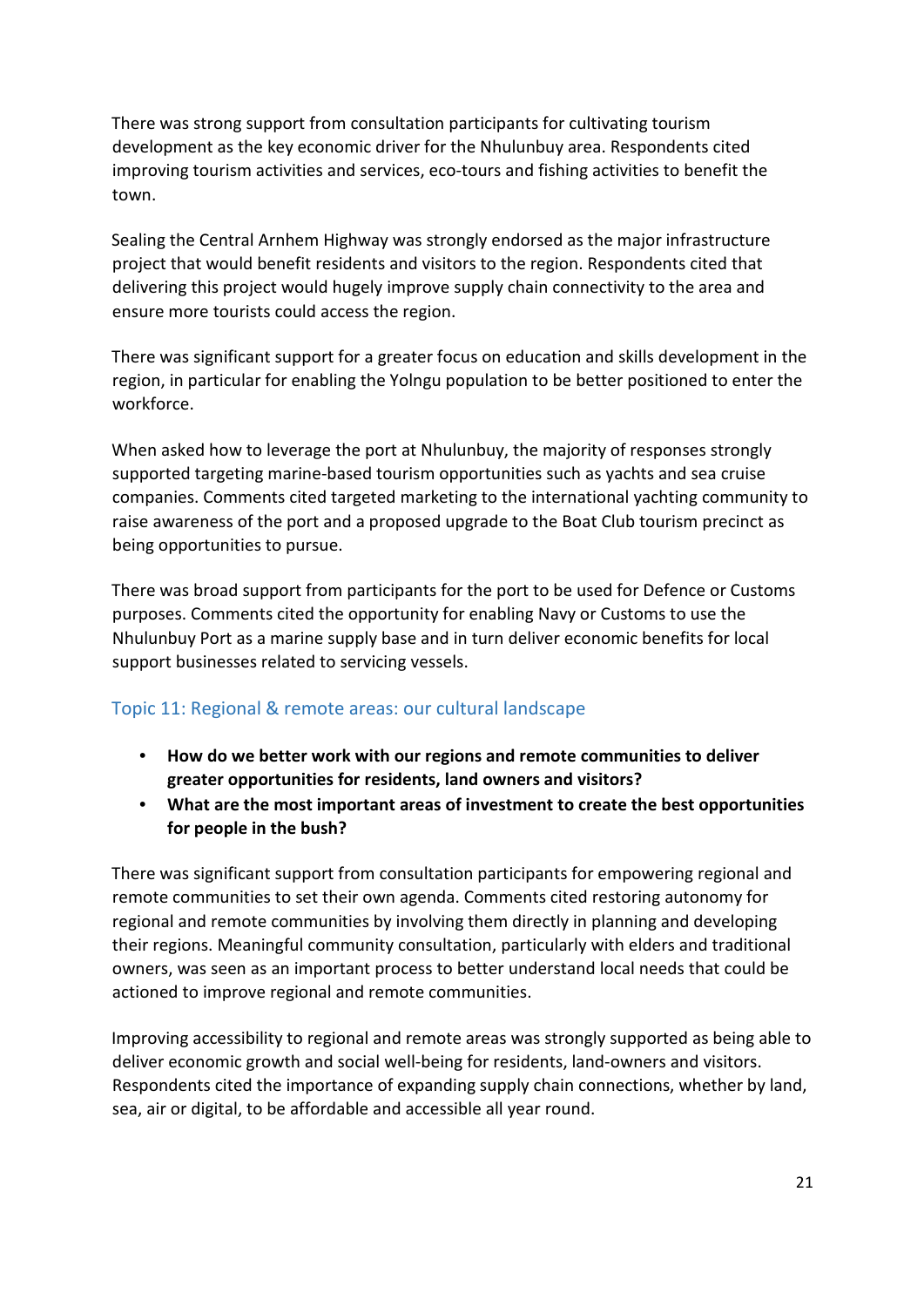There was strong support from consultation participants for cultivating tourism development as the key economic driver for the Nhulunbuy area. Respondents cited improving tourism activities and services, eco-tours and fishing activities to benefit the town.

Sealing the Central Arnhem Highway was strongly endorsed as the major infrastructure project that would benefit residents and visitors to the region. Respondents cited that delivering this project would hugely improve supply chain connectivity to the area and ensure more tourists could access the region.

There was significant support for a greater focus on education and skills development in the region, in particular for enabling the Yolngu population to be better positioned to enter the workforce.

When asked how to leverage the port at Nhulunbuy, the majority of responses strongly supported targeting marine-based tourism opportunities such as yachts and sea cruise companies. Comments cited targeted marketing to the international yachting community to raise awareness of the port and a proposed upgrade to the Boat Club tourism precinct as being opportunities to pursue.

There was broad support from participants for the port to be used for Defence or Customs purposes. Comments cited the opportunity for enabling Navy or Customs to use the Nhulunbuy Port as a marine supply base and in turn deliver economic benefits for local support businesses related to servicing vessels.

#### <span id="page-20-0"></span>Topic 11: Regional & remote areas: our cultural landscape

- **How do we better work with our regions and remote communities to deliver greater opportunities for residents, land owners and visitors?**
- **What are the most important areas of investment to create the best opportunities for people in the bush?**

There was significant support from consultation participants for empowering regional and remote communities to set their own agenda. Comments cited restoring autonomy for regional and remote communities by involving them directly in planning and developing their regions. Meaningful community consultation, particularly with elders and traditional owners, was seen as an important process to better understand local needs that could be actioned to improve regional and remote communities.

Improving accessibility to regional and remote areas was strongly supported as being able to deliver economic growth and social well-being for residents, land-owners and visitors. Respondents cited the importance of expanding supply chain connections, whether by land, sea, air or digital, to be affordable and accessible all year round.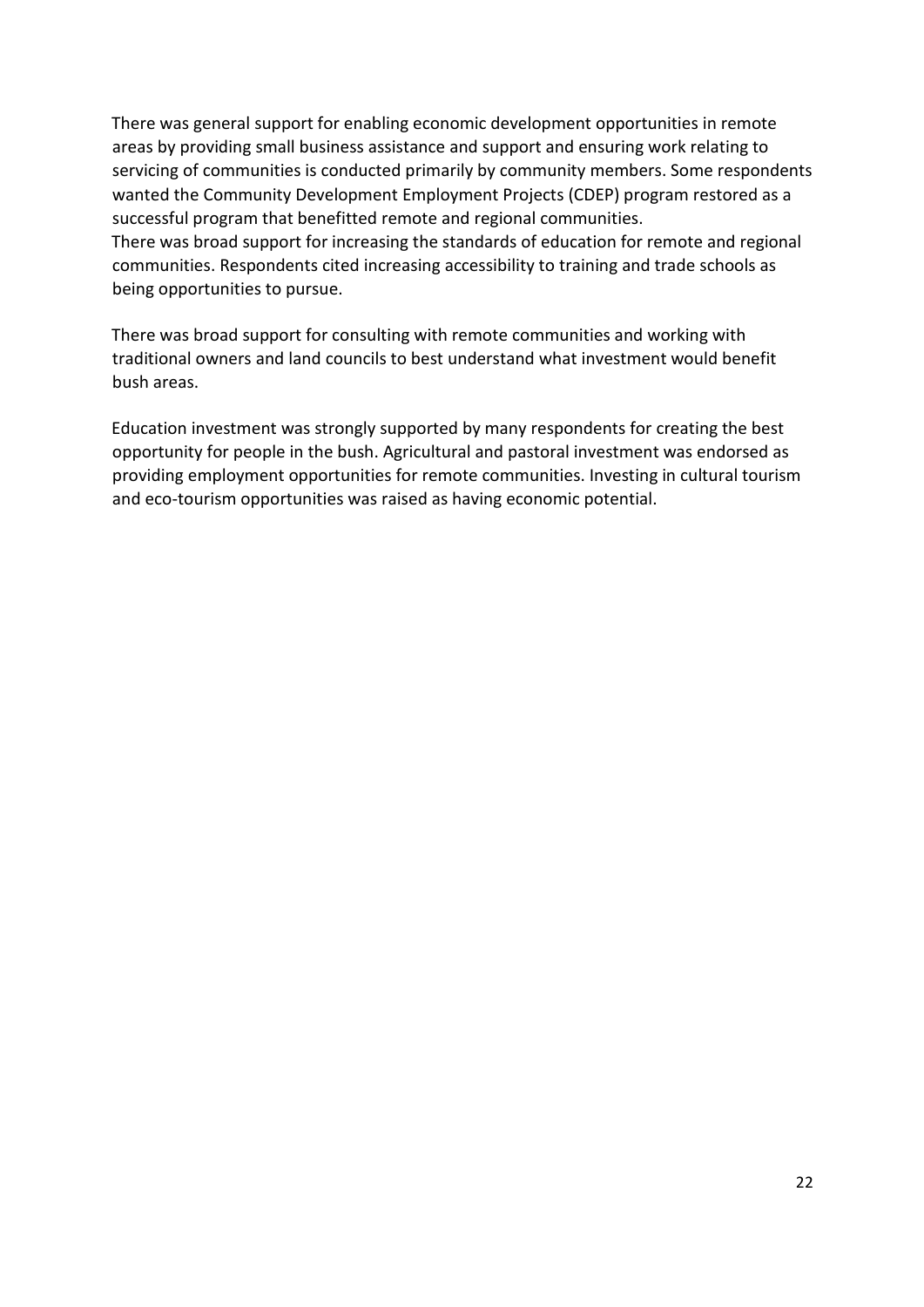There was general support for enabling economic development opportunities in remote areas by providing small business assistance and support and ensuring work relating to servicing of communities is conducted primarily by community members. Some respondents wanted the Community Development Employment Projects (CDEP) program restored as a successful program that benefitted remote and regional communities. There was broad support for increasing the standards of education for remote and regional communities. Respondents cited increasing accessibility to training and trade schools as being opportunities to pursue.

There was broad support for consulting with remote communities and working with traditional owners and land councils to best understand what investment would benefit bush areas.

Education investment was strongly supported by many respondents for creating the best opportunity for people in the bush. Agricultural and pastoral investment was endorsed as providing employment opportunities for remote communities. Investing in cultural tourism and eco-tourism opportunities was raised as having economic potential.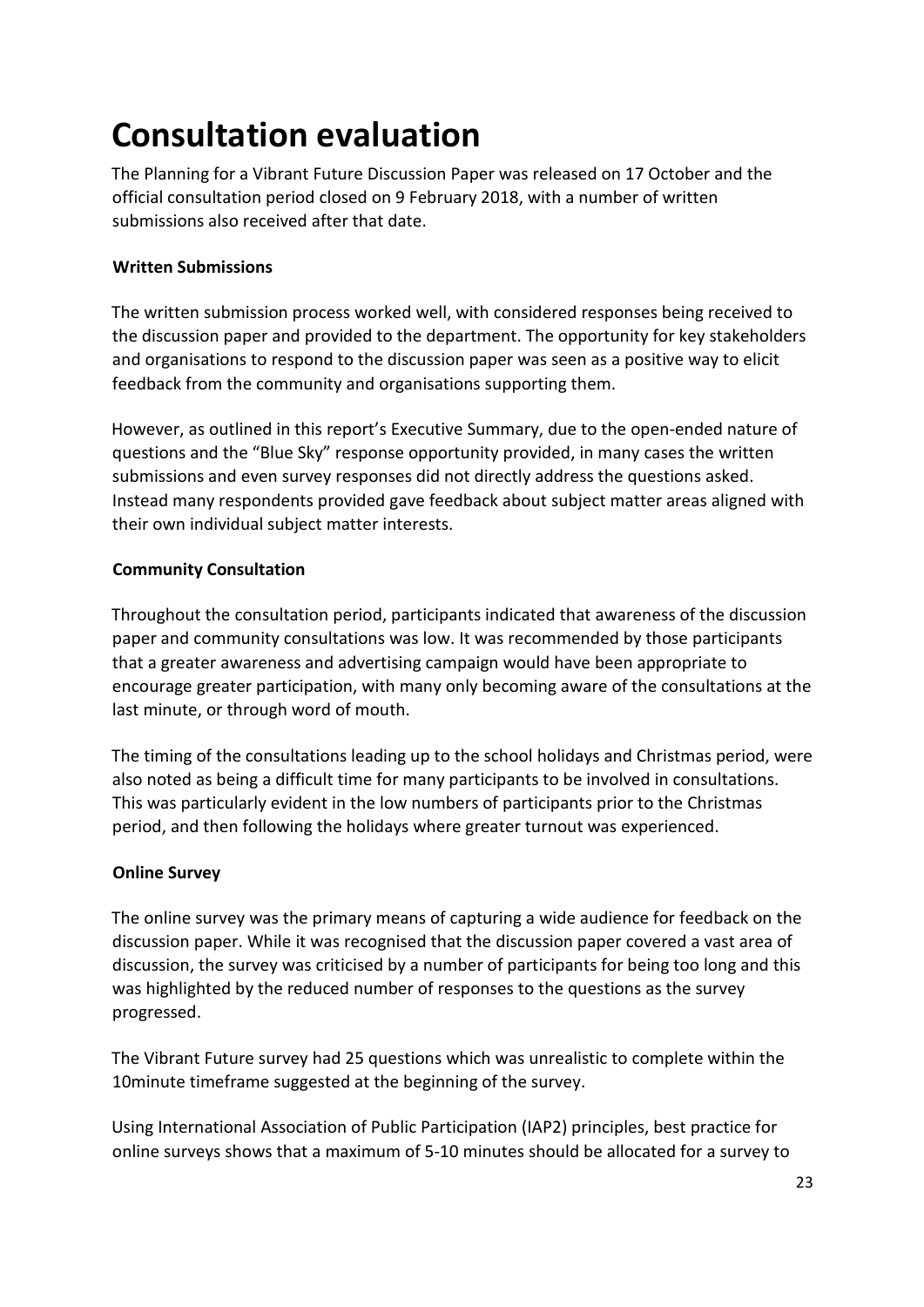# <span id="page-22-0"></span>**Consultation evaluation**

The Planning for a Vibrant Future Discussion Paper was released on 17 October and the official consultation period closed on 9 February 2018, with a number of written submissions also received after that date.

#### **Written Submissions**

The written submission process worked well, with considered responses being received to the discussion paper and provided to the department. The opportunity for key stakeholders and organisations to respond to the discussion paper was seen as a positive way to elicit feedback from the community and organisations supporting them.

However, as outlined in this report's Executive Summary, due to the open-ended nature of questions and the "Blue Sky" response opportunity provided, in many cases the written submissions and even survey responses did not directly address the questions asked. Instead many respondents provided gave feedback about subject matter areas aligned with their own individual subject matter interests.

#### **Community Consultation**

Throughout the consultation period, participants indicated that awareness of the discussion paper and community consultations was low. It was recommended by those participants that a greater awareness and advertising campaign would have been appropriate to encourage greater participation, with many only becoming aware of the consultations at the last minute, or through word of mouth.

The timing of the consultations leading up to the school holidays and Christmas period, were also noted as being a difficult time for many participants to be involved in consultations. This was particularly evident in the low numbers of participants prior to the Christmas period, and then following the holidays where greater turnout was experienced.

#### **Online Survey**

The online survey was the primary means of capturing a wide audience for feedback on the discussion paper. While it was recognised that the discussion paper covered a vast area of discussion, the survey was criticised by a number of participants for being too long and this was highlighted by the reduced number of responses to the questions as the survey progressed.

The Vibrant Future survey had 25 questions which was unrealistic to complete within the 10minute timeframe suggested at the beginning of the survey.

Using International Association of Public Participation (IAP2) principles, best practice for online surveys shows that a maximum of 5-10 minutes should be allocated for a survey to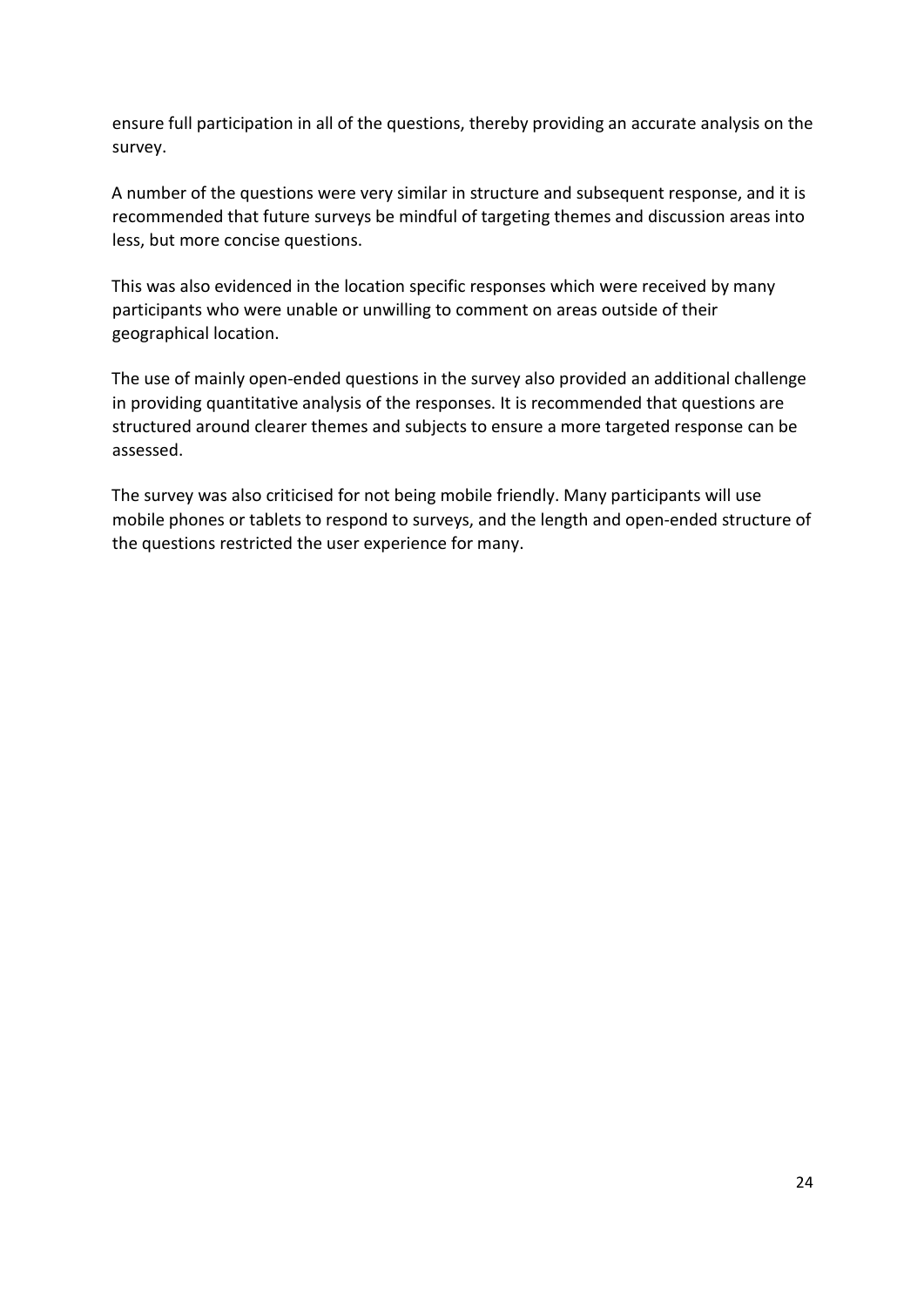ensure full participation in all of the questions, thereby providing an accurate analysis on the survey.

A number of the questions were very similar in structure and subsequent response, and it is recommended that future surveys be mindful of targeting themes and discussion areas into less, but more concise questions.

This was also evidenced in the location specific responses which were received by many participants who were unable or unwilling to comment on areas outside of their geographical location.

The use of mainly open-ended questions in the survey also provided an additional challenge in providing quantitative analysis of the responses. It is recommended that questions are structured around clearer themes and subjects to ensure a more targeted response can be assessed.

The survey was also criticised for not being mobile friendly. Many participants will use mobile phones or tablets to respond to surveys, and the length and open-ended structure of the questions restricted the user experience for many.